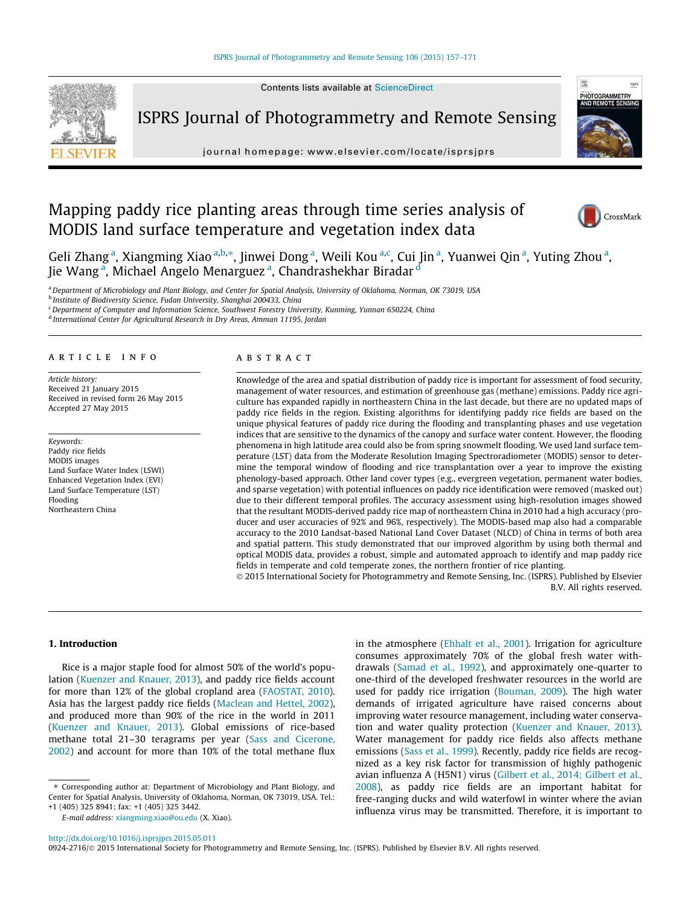Contents lists available at [ScienceDirect](http://www.sciencedirect.com/science/journal/09242716)

ISPRS Journal of Photogrammetry and Remote Sensing



journal homepage: [www.elsevier.com/locate/isprsjprs](http://www.elsevier.com/locate/isprsjprs)

# Mapping paddy rice planting areas through time series analysis of MODIS land surface temperature and vegetation index data



Geli Zhang<sup>a</sup>, Xiangming Xiao <sup>a,b,</sup>\*, Jinwei Dong <sup>a</sup>, Weili Kou <sup>a,c</sup>, Cui Jin <sup>a</sup>, Yuanwei Qin <sup>a</sup>, Yuting Zhou <sup>a</sup>, Jie Wang<sup>a</sup>, Michael Angelo Menarguez<sup>a</sup>, Chandrashekhar Biradar <sup>d</sup>

a Department of Microbiology and Plant Biology, and Center for Spatial Analysis, University of Oklahoma, Norman, OK 73019, USA

<sup>b</sup> Institute of Biodiversity Science, Fudan University, Shanghai 200433, China

<sup>c</sup> Department of Computer and Information Science, Southwest Forestry University, Kunming, Yunnan 650224, China

<sup>d</sup> International Center for Agricultural Research in Dry Areas, Amman 11195, Jordan

# ARTICLE INFO

Article history: Received 21 January 2015 Received in revised form 26 May 2015 Accepted 27 May 2015

Keywords: Paddy rice fields MODIS images Land Surface Water Index (LSWI) Enhanced Vegetation Index (EVI) Land Surface Temperature (LST) Flooding Northeastern China

#### **ABSTRACT**

Knowledge of the area and spatial distribution of paddy rice is important for assessment of food security, management of water resources, and estimation of greenhouse gas (methane) emissions. Paddy rice agriculture has expanded rapidly in northeastern China in the last decade, but there are no updated maps of paddy rice fields in the region. Existing algorithms for identifying paddy rice fields are based on the unique physical features of paddy rice during the flooding and transplanting phases and use vegetation indices that are sensitive to the dynamics of the canopy and surface water content. However, the flooding phenomena in high latitude area could also be from spring snowmelt flooding. We used land surface temperature (LST) data from the Moderate Resolution Imaging Spectroradiometer (MODIS) sensor to determine the temporal window of flooding and rice transplantation over a year to improve the existing phenology-based approach. Other land cover types (e.g., evergreen vegetation, permanent water bodies, and sparse vegetation) with potential influences on paddy rice identification were removed (masked out) due to their different temporal profiles. The accuracy assessment using high-resolution images showed that the resultant MODIS-derived paddy rice map of northeastern China in 2010 had a high accuracy (producer and user accuracies of 92% and 96%, respectively). The MODIS-based map also had a comparable accuracy to the 2010 Landsat-based National Land Cover Dataset (NLCD) of China in terms of both area and spatial pattern. This study demonstrated that our improved algorithm by using both thermal and optical MODIS data, provides a robust, simple and automated approach to identify and map paddy rice fields in temperate and cold temperate zones, the northern frontier of rice planting.

© 2015 International Society for Photogrammetry and Remote Sensing, Inc. (ISPRS). Published by Elsevier B.V. All rights reserved.

#### 1. Introduction

Rice is a major staple food for almost 50% of the world's population [\(Kuenzer and Knauer, 2013](#page-13-0)), and paddy rice fields account for more than 12% of the global cropland area [\(FAOSTAT, 2010\)](#page-13-0). Asia has the largest paddy rice fields [\(Maclean and Hettel, 2002\)](#page-13-0), and produced more than 90% of the rice in the world in 2011 ([Kuenzer and Knauer, 2013\)](#page-13-0). Global emissions of rice-based methane total 21–30 teragrams per year ([Sass and Cicerone,](#page-13-0) [2002](#page-13-0)) and account for more than 10% of the total methane flux

E-mail address: [xiangming.xiao@ou.edu](mailto:xiangming.xiao@ou.edu) (X. Xiao).

in the atmosphere [\(Ehhalt et al., 2001](#page-13-0)). Irrigation for agriculture consumes approximately 70% of the global fresh water withdrawals [\(Samad et al., 1992](#page-13-0)), and approximately one-quarter to one-third of the developed freshwater resources in the world are used for paddy rice irrigation [\(Bouman, 2009\)](#page-13-0). The high water demands of irrigated agriculture have raised concerns about improving water resource management, including water conservation and water quality protection [\(Kuenzer and Knauer, 2013\)](#page-13-0). Water management for paddy rice fields also affects methane emissions [\(Sass et al., 1999\)](#page-13-0). Recently, paddy rice fields are recognized as a key risk factor for transmission of highly pathogenic avian influenza A (H5N1) virus ([Gilbert et al., 2014; Gilbert et al.,](#page-13-0) [2008](#page-13-0)), as paddy rice fields are an important habitat for free-ranging ducks and wild waterfowl in winter where the avian influenza virus may be transmitted. Therefore, it is important to

<http://dx.doi.org/10.1016/j.isprsjprs.2015.05.011>

0924-2716/© 2015 International Society for Photogrammetry and Remote Sensing, Inc. (ISPRS). Published by Elsevier B.V. All rights reserved.

<sup>⇑</sup> Corresponding author at: Department of Microbiology and Plant Biology, and Center for Spatial Analysis, University of Oklahoma, Norman, OK 73019, USA. Tel.: +1 (405) 325 8941; fax: +1 (405) 325 3442.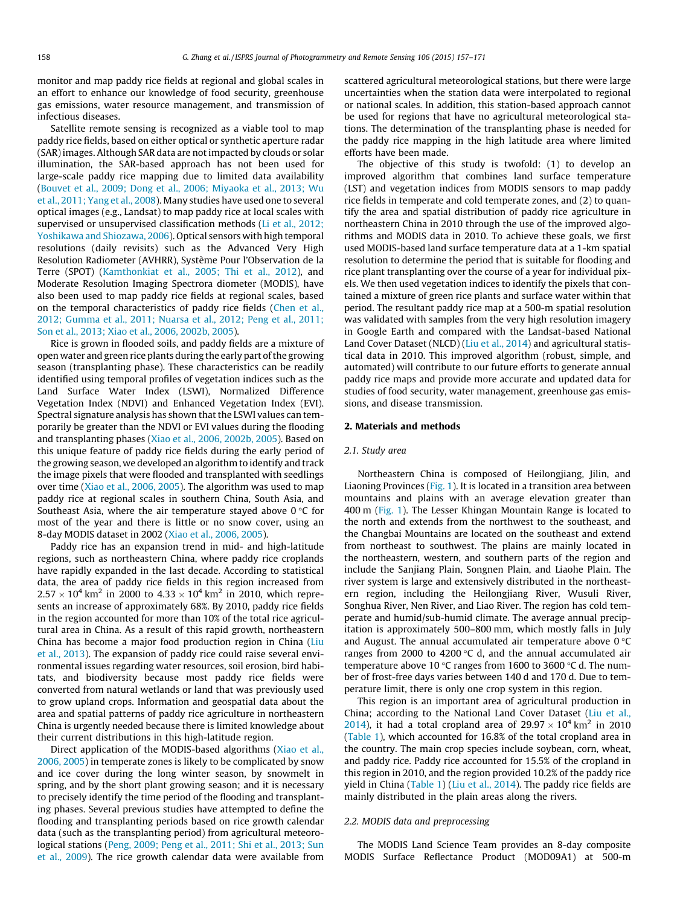monitor and map paddy rice fields at regional and global scales in an effort to enhance our knowledge of food security, greenhouse gas emissions, water resource management, and transmission of infectious diseases.

Satellite remote sensing is recognized as a viable tool to map paddy rice fields, based on either optical or synthetic aperture radar (SAR) images. Although SAR data are not impacted by clouds or solar illumination, the SAR-based approach has not been used for large-scale paddy rice mapping due to limited data availability ([Bouvet et al., 2009; Dong et al., 2006; Miyaoka et al., 2013; Wu](#page-13-0) [et al., 2011; Yang et al., 2008\)](#page-13-0). Many studies have used one to several optical images (e.g., Landsat) to map paddy rice at local scales with supervised or unsupervised classification methods ([Li et al., 2012;](#page-13-0) [Yoshikawa and Shiozawa, 2006](#page-13-0)). Optical sensors with high temporal resolutions (daily revisits) such as the Advanced Very High Resolution Radiometer (AVHRR), Système Pour l'Observation de la Terre (SPOT) [\(Kamthonkiat et al., 2005; Thi et al., 2012](#page-13-0)), and Moderate Resolution Imaging Spectrora diometer (MODIS), have also been used to map paddy rice fields at regional scales, based on the temporal characteristics of paddy rice fields ([Chen et al.,](#page-13-0) [2012; Gumma et al., 2011; Nuarsa et al., 2012; Peng et al., 2011;](#page-13-0) [Son et al., 2013; Xiao et al., 2006, 2002b, 2005\)](#page-13-0).

Rice is grown in flooded soils, and paddy fields are a mixture of open water and green rice plants during the early part of the growing season (transplanting phase). These characteristics can be readily identified using temporal profiles of vegetation indices such as the Land Surface Water Index (LSWI), Normalized Difference Vegetation Index (NDVI) and Enhanced Vegetation Index (EVI). Spectral signature analysis has shown that the LSWI values can temporarily be greater than the NDVI or EVI values during the flooding and transplanting phases [\(Xiao et al., 2006, 2002b, 2005](#page-13-0)). Based on this unique feature of paddy rice fields during the early period of the growing season, we developed an algorithm to identify and track the image pixels that were flooded and transplanted with seedlings over time [\(Xiao et al., 2006, 2005](#page-13-0)). The algorithm was used to map paddy rice at regional scales in southern China, South Asia, and Southeast Asia, where the air temperature stayed above  $0^{\circ}$ C for most of the year and there is little or no snow cover, using an 8-day MODIS dataset in 2002 ([Xiao et al., 2006, 2005](#page-13-0)).

Paddy rice has an expansion trend in mid- and high-latitude regions, such as northeastern China, where paddy rice croplands have rapidly expanded in the last decade. According to statistical data, the area of paddy rice fields in this region increased from  $2.57 \times 10^4$  km<sup>2</sup> in 2000 to 4.33  $\times$   $10^4$  km<sup>2</sup> in 2010, which represents an increase of approximately 68%. By 2010, paddy rice fields in the region accounted for more than 10% of the total rice agricultural area in China. As a result of this rapid growth, northeastern China has become a major food production region in China [\(Liu](#page-13-0) [et al., 2013\)](#page-13-0). The expansion of paddy rice could raise several environmental issues regarding water resources, soil erosion, bird habitats, and biodiversity because most paddy rice fields were converted from natural wetlands or land that was previously used to grow upland crops. Information and geospatial data about the area and spatial patterns of paddy rice agriculture in northeastern China is urgently needed because there is limited knowledge about their current distributions in this high-latitude region.

Direct application of the MODIS-based algorithms ([Xiao et al.,](#page-13-0) [2006, 2005](#page-13-0)) in temperate zones is likely to be complicated by snow and ice cover during the long winter season, by snowmelt in spring, and by the short plant growing season; and it is necessary to precisely identify the time period of the flooding and transplanting phases. Several previous studies have attempted to define the flooding and transplanting periods based on rice growth calendar data (such as the transplanting period) from agricultural meteorological stations ([Peng, 2009; Peng et al., 2011; Shi et al., 2013; Sun](#page-13-0) [et al., 2009](#page-13-0)). The rice growth calendar data were available from scattered agricultural meteorological stations, but there were large uncertainties when the station data were interpolated to regional or national scales. In addition, this station-based approach cannot be used for regions that have no agricultural meteorological stations. The determination of the transplanting phase is needed for the paddy rice mapping in the high latitude area where limited efforts have been made.

The objective of this study is twofold: (1) to develop an improved algorithm that combines land surface temperature (LST) and vegetation indices from MODIS sensors to map paddy rice fields in temperate and cold temperate zones, and (2) to quantify the area and spatial distribution of paddy rice agriculture in northeastern China in 2010 through the use of the improved algorithms and MODIS data in 2010. To achieve these goals, we first used MODIS-based land surface temperature data at a 1-km spatial resolution to determine the period that is suitable for flooding and rice plant transplanting over the course of a year for individual pixels. We then used vegetation indices to identify the pixels that contained a mixture of green rice plants and surface water within that period. The resultant paddy rice map at a 500-m spatial resolution was validated with samples from the very high resolution imagery in Google Earth and compared with the Landsat-based National Land Cover Dataset (NLCD) ([Liu et al., 2014](#page-13-0)) and agricultural statistical data in 2010. This improved algorithm (robust, simple, and automated) will contribute to our future efforts to generate annual paddy rice maps and provide more accurate and updated data for studies of food security, water management, greenhouse gas emissions, and disease transmission.

### 2. Materials and methods

### 2.1. Study area

Northeastern China is composed of Heilongjiang, Jilin, and Liaoning Provinces ([Fig. 1\)](#page-2-0). It is located in a transition area between mountains and plains with an average elevation greater than 400 m ([Fig. 1\)](#page-2-0). The Lesser Khingan Mountain Range is located to the north and extends from the northwest to the southeast, and the Changbai Mountains are located on the southeast and extend from northeast to southwest. The plains are mainly located in the northeastern, western, and southern parts of the region and include the Sanjiang Plain, Songnen Plain, and Liaohe Plain. The river system is large and extensively distributed in the northeastern region, including the Heilongjiang River, Wusuli River, Songhua River, Nen River, and Liao River. The region has cold temperate and humid/sub-humid climate. The average annual precipitation is approximately 500–800 mm, which mostly falls in July and August. The annual accumulated air temperature above  $0^{\circ}C$ ranges from 2000 to 4200  $\degree$ C d, and the annual accumulated air temperature above 10 °C ranges from 1600 to 3600 °C d. The number of frost-free days varies between 140 d and 170 d. Due to temperature limit, there is only one crop system in this region.

This region is an important area of agricultural production in China; according to the National Land Cover Dataset ([Liu et al.,](#page-13-0) [2014\)](#page-13-0), it had a total cropland area of  $29.97 \times 10^4$  km<sup>2</sup> in 2010 ([Table 1\)](#page-2-0), which accounted for 16.8% of the total cropland area in the country. The main crop species include soybean, corn, wheat, and paddy rice. Paddy rice accounted for 15.5% of the cropland in this region in 2010, and the region provided 10.2% of the paddy rice yield in China ([Table 1](#page-2-0)) [\(Liu et al., 2014\)](#page-13-0). The paddy rice fields are mainly distributed in the plain areas along the rivers.

#### 2.2. MODIS data and preprocessing

The MODIS Land Science Team provides an 8-day composite MODIS Surface Reflectance Product (MOD09A1) at 500-m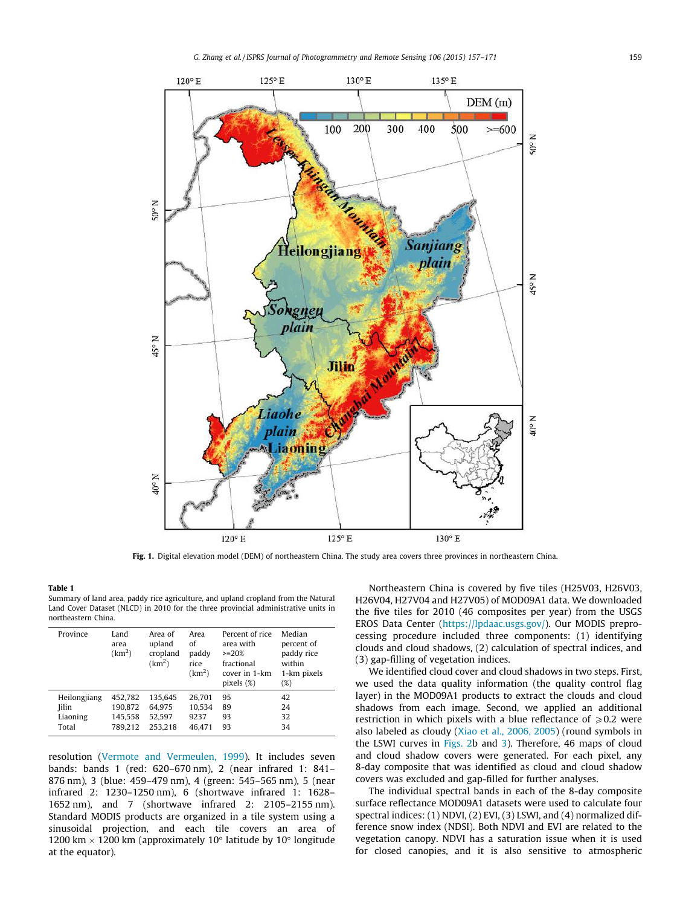<span id="page-2-0"></span>

Fig. 1. Digital elevation model (DEM) of northeastern China. The study area covers three provinces in northeastern China.

#### Table 1 Summary of land area, paddy rice agriculture, and upland cropland from the Natural Land Cover Dataset (NLCD) in 2010 for the three provincial administrative units in

northeastern China.

| Province     | Land<br>area<br>(km <sup>2</sup> ) | Area of<br>upland<br>cropland<br>(km <sup>2</sup> ) | Area<br>of<br>paddy<br>rice<br>(km <sup>2</sup> ) | Percent of rice<br>area with<br>$>=20%$<br>fractional<br>cover in 1-km<br>$pixels$ $(\%)$ | Median<br>percent of<br>paddy rice<br>within<br>1-km pixels<br>$(\%)$ |
|--------------|------------------------------------|-----------------------------------------------------|---------------------------------------------------|-------------------------------------------------------------------------------------------|-----------------------------------------------------------------------|
| Heilongjiang | 452.782                            | 135.645                                             | 26.701                                            | 95                                                                                        | 42                                                                    |
| Jilin        | 190,872                            | 64.975                                              | 10.534                                            | 89                                                                                        | 24                                                                    |
| Liaoning     | 145.558                            | 52.597                                              | 9237                                              | 93                                                                                        | 32                                                                    |
| Total        | 789.212                            | 253.218                                             | 46.471                                            | 93                                                                                        | 34                                                                    |

resolution [\(Vermote and Vermeulen, 1999](#page-13-0)). It includes seven bands: bands 1 (red: 620–670 nm), 2 (near infrared 1: 841– 876 nm), 3 (blue: 459–479 nm), 4 (green: 545–565 nm), 5 (near infrared 2: 1230–1250 nm), 6 (shortwave infrared 1: 1628– 1652 nm), and 7 (shortwave infrared 2: 2105–2155 nm). Standard MODIS products are organized in a tile system using a sinusoidal projection, and each tile covers an area of 1200 km  $\times$  1200 km (approximately 10 $^{\circ}$  latitude by 10 $^{\circ}$  longitude at the equator).

Northeastern China is covered by five tiles (H25V03, H26V03, H26V04, H27V04 and H27V05) of MOD09A1 data. We downloaded the five tiles for 2010 (46 composites per year) from the USGS EROS Data Center ([https://lpdaac.usgs.gov/\)](https://lpdaac.usgs.gov/). Our MODIS preprocessing procedure included three components: (1) identifying clouds and cloud shadows, (2) calculation of spectral indices, and (3) gap-filling of vegetation indices.

We identified cloud cover and cloud shadows in two steps. First, we used the data quality information (the quality control flag layer) in the MOD09A1 products to extract the clouds and cloud shadows from each image. Second, we applied an additional restriction in which pixels with a blue reflectance of  $\geq 0.2$  were also labeled as cloudy [\(Xiao et al., 2006, 2005\)](#page-13-0) (round symbols in the LSWI curves in [Figs. 2b](#page-3-0) and [3](#page-4-0)). Therefore, 46 maps of cloud and cloud shadow covers were generated. For each pixel, any 8-day composite that was identified as cloud and cloud shadow covers was excluded and gap-filled for further analyses.

The individual spectral bands in each of the 8-day composite surface reflectance MOD09A1 datasets were used to calculate four spectral indices: (1) NDVI, (2) EVI, (3) LSWI, and (4) normalized difference snow index (NDSI). Both NDVI and EVI are related to the vegetation canopy. NDVI has a saturation issue when it is used for closed canopies, and it is also sensitive to atmospheric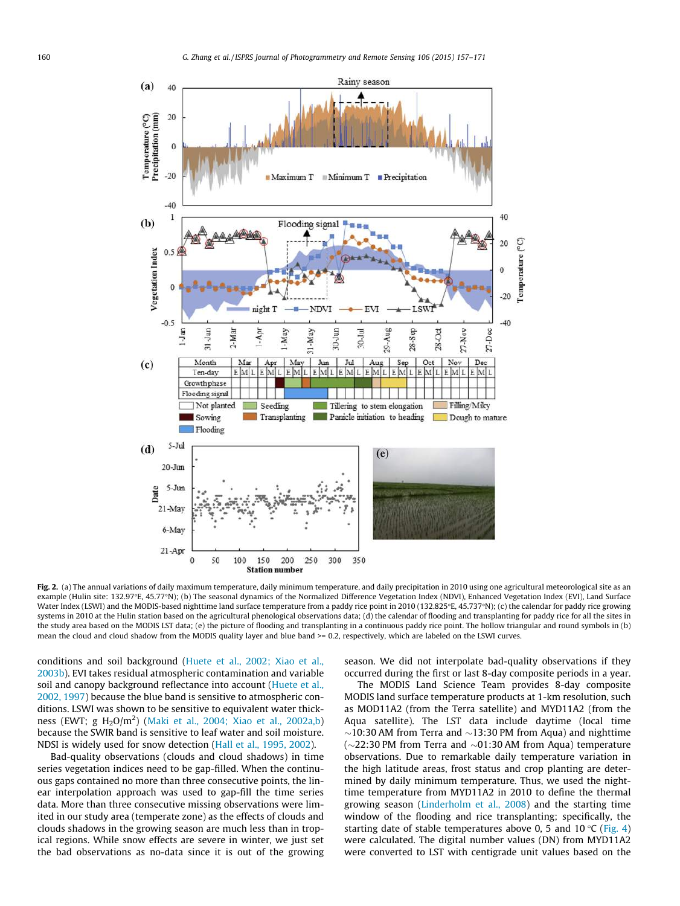<span id="page-3-0"></span>

Fig. 2. (a) The annual variations of daily maximum temperature, daily minimum temperature, and daily precipitation in 2010 using one agricultural meteorological site as an example (Hulin site: 132.97E, 45.77N); (b) The seasonal dynamics of the Normalized Difference Vegetation Index (NDVI), Enhanced Vegetation Index (EVI), Land Surface Water Index (LSWI) and the MODIS-based nighttime land surface temperature from a paddy rice point in 2010 (132.825°E, 45.737°N); (c) the calendar for paddy rice growing systems in 2010 at the Hulin station based on the agricultural phenological observations data; (d) the calendar of flooding and transplanting for paddy rice for all the sites in the study area based on the MODIS LST data; (e) the picture of flooding and transplanting in a continuous paddy rice point. The hollow triangular and round symbols in (b) mean the cloud and cloud shadow from the MODIS quality layer and blue band >= 0.2, respectively, which are labeled on the LSWI curves.

conditions and soil background ([Huete et al., 2002; Xiao et al.,](#page-13-0) [2003b](#page-13-0)). EVI takes residual atmospheric contamination and variable soil and canopy background reflectance into account [\(Huete et al.,](#page-13-0) [2002, 1997\)](#page-13-0) because the blue band is sensitive to atmospheric conditions. LSWI was shown to be sensitive to equivalent water thick-ness (EWT; g H<sub>2</sub>O/m<sup>2</sup>) [\(Maki et al., 2004; Xiao et al., 2002a,b\)](#page-13-0) because the SWIR band is sensitive to leaf water and soil moisture. NDSI is widely used for snow detection ([Hall et al., 1995, 2002](#page-13-0)).

Bad-quality observations (clouds and cloud shadows) in time series vegetation indices need to be gap-filled. When the continuous gaps contained no more than three consecutive points, the linear interpolation approach was used to gap-fill the time series data. More than three consecutive missing observations were limited in our study area (temperate zone) as the effects of clouds and clouds shadows in the growing season are much less than in tropical regions. While snow effects are severe in winter, we just set the bad observations as no-data since it is out of the growing season. We did not interpolate bad-quality observations if they occurred during the first or last 8-day composite periods in a year.

The MODIS Land Science Team provides 8-day composite MODIS land surface temperature products at 1-km resolution, such as MOD11A2 (from the Terra satellite) and MYD11A2 (from the Aqua satellite). The LST data include daytime (local time  $\sim$ 10:30 AM from Terra and  $\sim$ 13:30 PM from Aqua) and nighttime  $(\sim$ 22:30 PM from Terra and  $\sim$ 01:30 AM from Aqua) temperature observations. Due to remarkable daily temperature variation in the high latitude areas, frost status and crop planting are determined by daily minimum temperature. Thus, we used the nighttime temperature from MYD11A2 in 2010 to define the thermal growing season [\(Linderholm et al., 2008](#page-13-0)) and the starting time window of the flooding and rice transplanting; specifically, the starting date of stable temperatures above 0, 5 and 10 °C ([Fig. 4\)](#page-5-0) were calculated. The digital number values (DN) from MYD11A2 were converted to LST with centigrade unit values based on the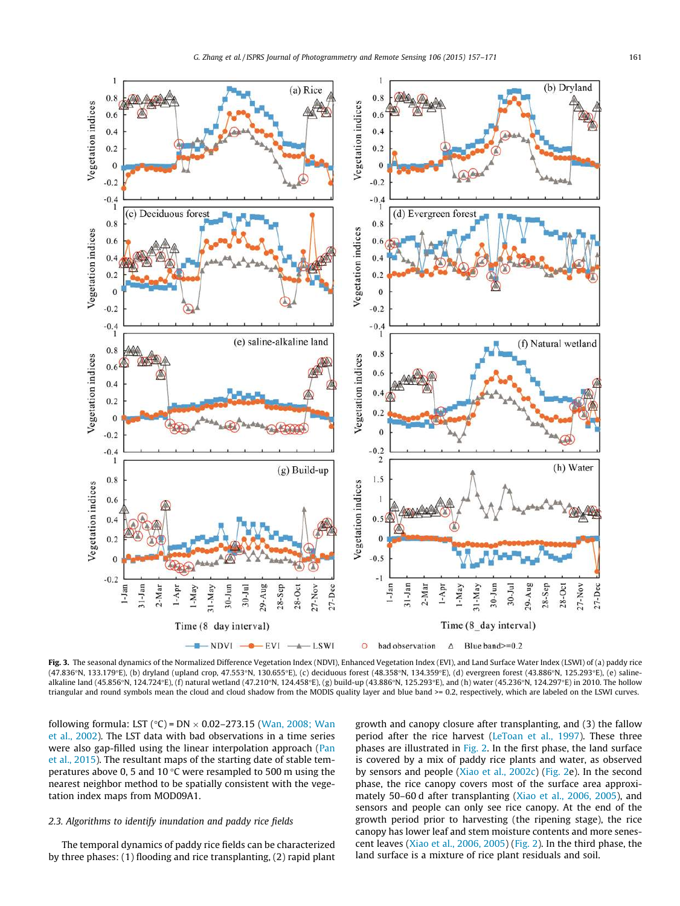<span id="page-4-0"></span>

Fig. 3. The seasonal dynamics of the Normalized Difference Vegetation Index (NDVI), Enhanced Vegetation Index (EVI), and Land Surface Water Index (LSWI) of (a) paddy rice (47.836°N, 133.179°E), (b) dryland (upland crop, 47.553°N, 130.655°E), (c) deciduous forest (48.358°N, 134.359°E), (d) evergreen forest (43.886°N, 125.293°E), (e) salinealkaline land (45.856°N, 124.724°E), (f) natural wetland (47.210°N, 124.458°E), (g) build-up (43.886°N, 125.293°E), and (h) water (45.236°N, 124.297°E) in 2010. The hollow triangular and round symbols mean the cloud and cloud shadow from the MODIS quality layer and blue band >= 0.2, respectively, which are labeled on the LSWI curves.

following formula: LST (°C) = DN  $\times$  0.02–273.15 [\(Wan, 2008; Wan](#page-13-0) [et al., 2002](#page-13-0)). The LST data with bad observations in a time series were also gap-filled using the linear interpolation approach ([Pan](#page-13-0) [et al., 2015](#page-13-0)). The resultant maps of the starting date of stable temperatures above 0, 5 and 10  $\degree$ C were resampled to 500 m using the nearest neighbor method to be spatially consistent with the vegetation index maps from MOD09A1.

# 2.3. Algorithms to identify inundation and paddy rice fields

The temporal dynamics of paddy rice fields can be characterized by three phases: (1) flooding and rice transplanting, (2) rapid plant growth and canopy closure after transplanting, and (3) the fallow period after the rice harvest ([LeToan et al., 1997\)](#page-13-0). These three phases are illustrated in [Fig. 2.](#page-3-0) In the first phase, the land surface is covered by a mix of paddy rice plants and water, as observed by sensors and people ([Xiao et al., 2002c](#page-14-0)) ([Fig. 2e](#page-3-0)). In the second phase, the rice canopy covers most of the surface area approximately 50–60 d after transplanting ([Xiao et al., 2006, 2005](#page-13-0)), and sensors and people can only see rice canopy. At the end of the growth period prior to harvesting (the ripening stage), the rice canopy has lower leaf and stem moisture contents and more senescent leaves ([Xiao et al., 2006, 2005\)](#page-13-0) [\(Fig. 2](#page-3-0)). In the third phase, the land surface is a mixture of rice plant residuals and soil.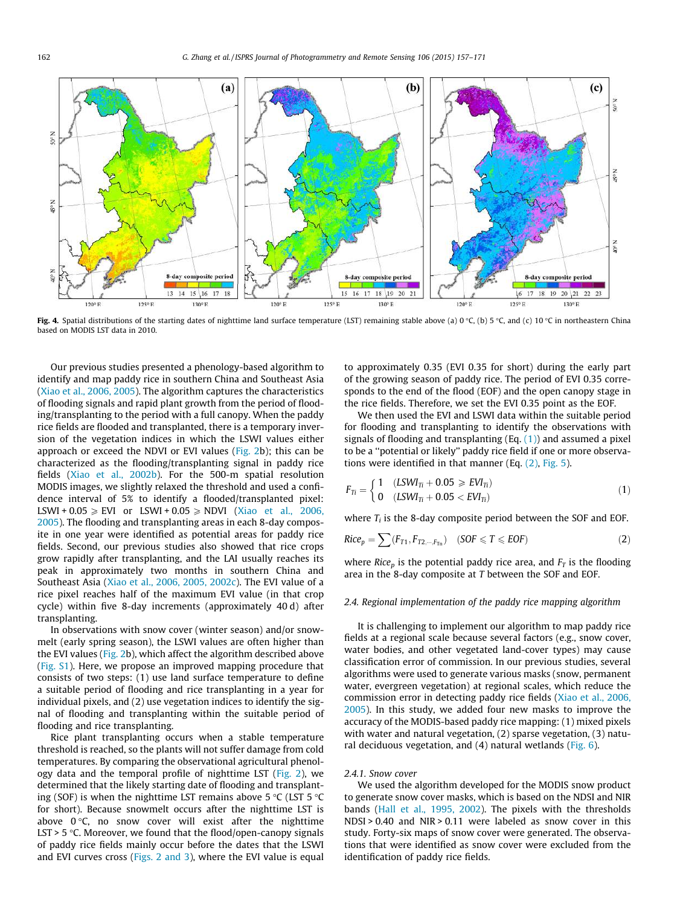<span id="page-5-0"></span>

Fig. 4. Spatial distributions of the starting dates of nighttime land surface temperature (LST) remaining stable above (a) 0 °C, (b) 5 °C, and (c) 10 °C in northeastern China based on MODIS LST data in 2010.

Our previous studies presented a phenology-based algorithm to identify and map paddy rice in southern China and Southeast Asia ([Xiao et al., 2006, 2005](#page-13-0)). The algorithm captures the characteristics of flooding signals and rapid plant growth from the period of flooding/transplanting to the period with a full canopy. When the paddy rice fields are flooded and transplanted, there is a temporary inversion of the vegetation indices in which the LSWI values either approach or exceed the NDVI or EVI values ([Fig. 2](#page-3-0)b); this can be characterized as the flooding/transplanting signal in paddy rice fields ([Xiao et al., 2002b](#page-14-0)). For the 500-m spatial resolution MODIS images, we slightly relaxed the threshold and used a confidence interval of 5% to identify a flooded/transplanted pixel: LSWI +  $0.05 \geq$  EVI or LSWI +  $0.05 \geq$  NDVI [\(Xiao et al., 2006,](#page-13-0) [2005\)](#page-13-0). The flooding and transplanting areas in each 8-day composite in one year were identified as potential areas for paddy rice fields. Second, our previous studies also showed that rice crops grow rapidly after transplanting, and the LAI usually reaches its peak in approximately two months in southern China and Southeast Asia [\(Xiao et al., 2006, 2005, 2002c\)](#page-13-0). The EVI value of a rice pixel reaches half of the maximum EVI value (in that crop cycle) within five 8-day increments (approximately 40 d) after transplanting.

In observations with snow cover (winter season) and/or snowmelt (early spring season), the LSWI values are often higher than the EVI values [\(Fig. 2](#page-3-0)b), which affect the algorithm described above (Fig. S1). Here, we propose an improved mapping procedure that consists of two steps: (1) use land surface temperature to define a suitable period of flooding and rice transplanting in a year for individual pixels, and (2) use vegetation indices to identify the signal of flooding and transplanting within the suitable period of flooding and rice transplanting.

Rice plant transplanting occurs when a stable temperature threshold is reached, so the plants will not suffer damage from cold temperatures. By comparing the observational agricultural phenology data and the temporal profile of nighttime LST [\(Fig. 2\)](#page-3-0), we determined that the likely starting date of flooding and transplanting (SOF) is when the nighttime LST remains above 5  $\degree$ C (LST 5  $\degree$ C for short). Because snowmelt occurs after the nighttime LST is above  $0^{\circ}$ C, no snow cover will exist after the nighttime LST > 5  $\degree$ C. Moreover, we found that the flood/open-canopy signals of paddy rice fields mainly occur before the dates that the LSWI and EVI curves cross [\(Figs. 2 and 3](#page-3-0)), where the EVI value is equal to approximately 0.35 (EVI 0.35 for short) during the early part of the growing season of paddy rice. The period of EVI 0.35 corresponds to the end of the flood (EOF) and the open canopy stage in the rice fields. Therefore, we set the EVI 0.35 point as the EOF.

We then used the EVI and LSWI data within the suitable period for flooding and transplanting to identify the observations with signals of flooding and transplanting (Eq.  $(1)$ ) and assumed a pixel to be a ''potential or likely'' paddy rice field if one or more observations were identified in that manner (Eq.  $(2)$ , [Fig. 5](#page-6-0)).

$$
F_{Ti} = \begin{cases} 1 & (LSWI_{Ti} + 0.05 \ge EVI_{Ti}) \\ 0 & (LSWI_{Ti} + 0.05 < EVI_{Ti}) \end{cases} \tag{1}
$$

where  $T_i$  is the 8-day composite period between the SOF and EOF.

$$
Rice_p = \sum (F_{T1}, F_{T2, \cdots, F_{Tn}}) \quad (SOF \leq T \leq EOF) \tag{2}
$$

where Rice<sub>p</sub> is the potential paddy rice area, and  $F_T$  is the flooding area in the 8-day composite at T between the SOF and EOF.

#### 2.4. Regional implementation of the paddy rice mapping algorithm

It is challenging to implement our algorithm to map paddy rice fields at a regional scale because several factors (e.g., snow cover, water bodies, and other vegetated land-cover types) may cause classification error of commission. In our previous studies, several algorithms were used to generate various masks (snow, permanent water, evergreen vegetation) at regional scales, which reduce the commission error in detecting paddy rice fields ([Xiao et al., 2006,](#page-13-0) [2005\)](#page-13-0). In this study, we added four new masks to improve the accuracy of the MODIS-based paddy rice mapping: (1) mixed pixels with water and natural vegetation, (2) sparse vegetation, (3) natural deciduous vegetation, and (4) natural wetlands ([Fig. 6](#page-6-0)).

#### 2.4.1. Snow cover

We used the algorithm developed for the MODIS snow product to generate snow cover masks, which is based on the NDSI and NIR bands [\(Hall et al., 1995, 2002](#page-13-0)). The pixels with the thresholds NDSI > 0.40 and NIR > 0.11 were labeled as snow cover in this study. Forty-six maps of snow cover were generated. The observations that were identified as snow cover were excluded from the identification of paddy rice fields.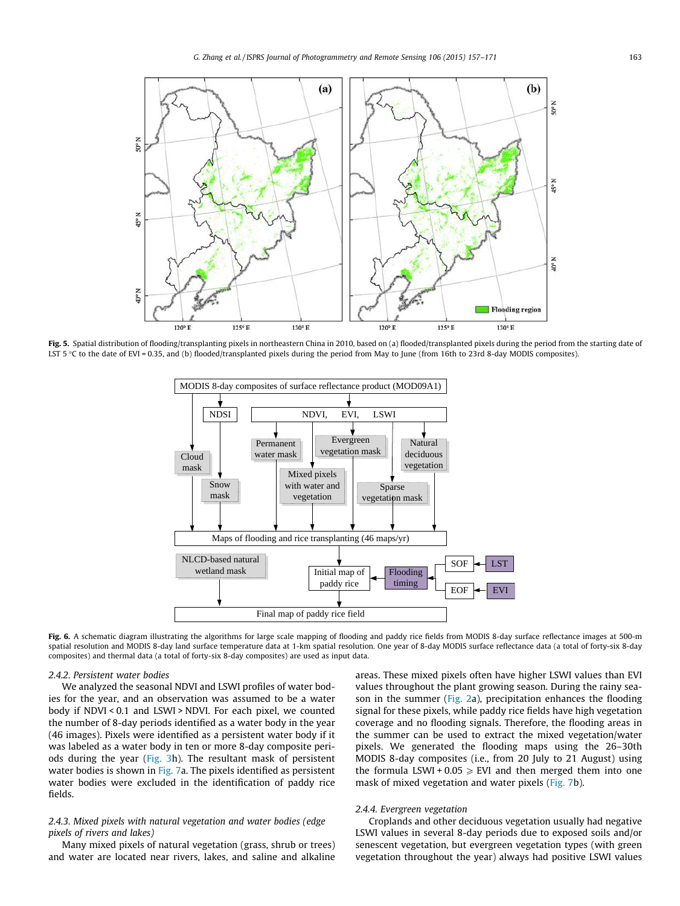<span id="page-6-0"></span>

Fig. 5. Spatial distribution of flooding/transplanting pixels in northeastern China in 2010, based on (a) flooded/transplanted pixels during the period from the starting date of LST 5 C to the date of EVI = 0.35, and (b) flooded/transplanted pixels during the period from May to June (from 16th to 23rd 8-day MODIS composites).



Fig. 6. A schematic diagram illustrating the algorithms for large scale mapping of flooding and paddy rice fields from MODIS 8-day surface reflectance images at 500-m spatial resolution and MODIS 8-day land surface temperature data at 1-km spatial resolution. One year of 8-day MODIS surface reflectance data (a total of forty-six 8-day composites) and thermal data (a total of forty-six 8-day composites) are used as input data.

#### 2.4.2. Persistent water bodies

We analyzed the seasonal NDVI and LSWI profiles of water bodies for the year, and an observation was assumed to be a water body if NDVI < 0.1 and LSWI > NDVI. For each pixel, we counted the number of 8-day periods identified as a water body in the year (46 images). Pixels were identified as a persistent water body if it was labeled as a water body in ten or more 8-day composite periods during the year ([Fig. 3h](#page-4-0)). The resultant mask of persistent water bodies is shown in [Fig. 7a](#page-7-0). The pixels identified as persistent water bodies were excluded in the identification of paddy rice fields.

# 2.4.3. Mixed pixels with natural vegetation and water bodies (edge pixels of rivers and lakes)

Many mixed pixels of natural vegetation (grass, shrub or trees) and water are located near rivers, lakes, and saline and alkaline areas. These mixed pixels often have higher LSWI values than EVI values throughout the plant growing season. During the rainy season in the summer [\(Fig. 2](#page-3-0)a), precipitation enhances the flooding signal for these pixels, while paddy rice fields have high vegetation coverage and no flooding signals. Therefore, the flooding areas in the summer can be used to extract the mixed vegetation/water pixels. We generated the flooding maps using the 26–30th MODIS 8-day composites (i.e., from 20 July to 21 August) using the formula LSWI + 0.05  $\ge$  EVI and then merged them into one mask of mixed vegetation and water pixels ([Fig. 7](#page-7-0)b).

## 2.4.4. Evergreen vegetation

Croplands and other deciduous vegetation usually had negative LSWI values in several 8-day periods due to exposed soils and/or senescent vegetation, but evergreen vegetation types (with green vegetation throughout the year) always had positive LSWI values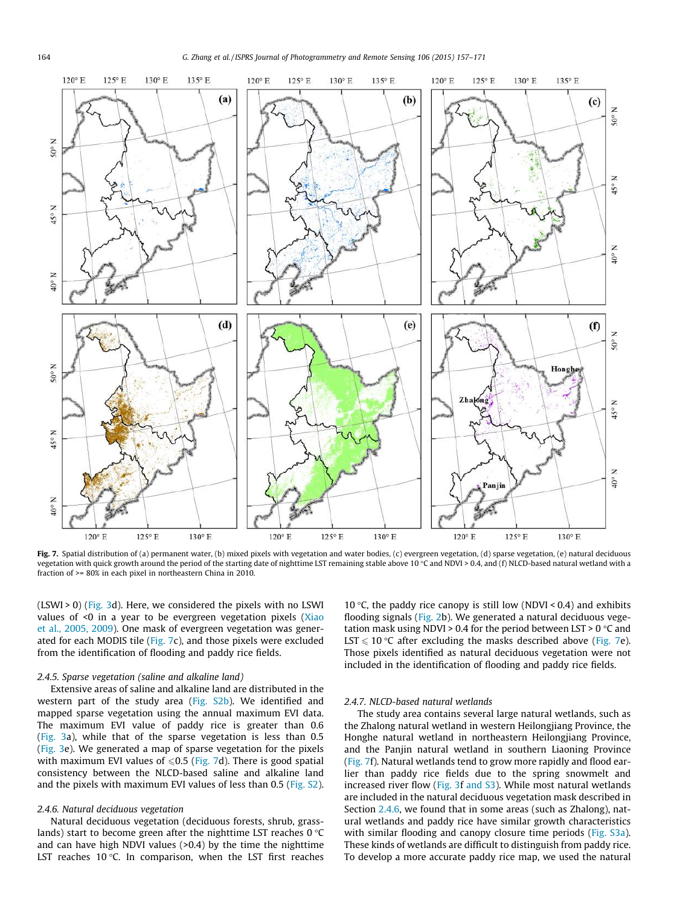<span id="page-7-0"></span>

Fig. 7. Spatial distribution of (a) permanent water, (b) mixed pixels with vegetation and water bodies, (c) evergreen vegetation, (d) sparse vegetation, (e) natural deciduous vegetation with quick growth around the period of the starting date of nighttime LST remaining stable above 10 °C and NDVI > 0.4, and (f) NLCD-based natural wetland with a fraction of >= 80% in each pixel in northeastern China in 2010.

(LSWI > 0) [\(Fig. 3d](#page-4-0)). Here, we considered the pixels with no LSWI values of <0 in a year to be evergreen vegetation pixels [\(Xiao](#page-14-0) [et al., 2005, 2009](#page-14-0)). One mask of evergreen vegetation was generated for each MODIS tile (Fig. 7c), and those pixels were excluded from the identification of flooding and paddy rice fields.

#### 2.4.5. Sparse vegetation (saline and alkaline land)

Extensive areas of saline and alkaline land are distributed in the western part of the study area (Fig. S2b). We identified and mapped sparse vegetation using the annual maximum EVI data. The maximum EVI value of paddy rice is greater than 0.6 ([Fig. 3](#page-4-0)a), while that of the sparse vegetation is less than 0.5 ([Fig. 3e](#page-4-0)). We generated a map of sparse vegetation for the pixels with maximum EVI values of  $\leq 0.5$  (Fig. 7d). There is good spatial consistency between the NLCD-based saline and alkaline land and the pixels with maximum EVI values of less than 0.5 (Fig. S2).

#### 2.4.6. Natural deciduous vegetation

Natural deciduous vegetation (deciduous forests, shrub, grasslands) start to become green after the nighttime LST reaches  $0^{\circ}$ C and can have high NDVI values (>0.4) by the time the nighttime LST reaches  $10^{\circ}$ C. In comparison, when the LST first reaches 10 °C, the paddy rice canopy is still low (NDVI < 0.4) and exhibits flooding signals ([Fig. 2b](#page-3-0)). We generated a natural deciduous vegetation mask using NDVI > 0.4 for the period between LST > 0  $\degree$ C and LST  $\leq 10$  °C after excluding the masks described above (Fig. 7e). Those pixels identified as natural deciduous vegetation were not included in the identification of flooding and paddy rice fields.

# 2.4.7. NLCD-based natural wetlands

The study area contains several large natural wetlands, such as the Zhalong natural wetland in western Heilongjiang Province, the Honghe natural wetland in northeastern Heilongjiang Province, and the Panjin natural wetland in southern Liaoning Province (Fig. 7f). Natural wetlands tend to grow more rapidly and flood earlier than paddy rice fields due to the spring snowmelt and increased river flow ([Fig. 3](#page-4-0)f and S3). While most natural wetlands are included in the natural deciduous vegetation mask described in Section 2.4.6, we found that in some areas (such as Zhalong), natural wetlands and paddy rice have similar growth characteristics with similar flooding and canopy closure time periods (Fig. S3a). These kinds of wetlands are difficult to distinguish from paddy rice. To develop a more accurate paddy rice map, we used the natural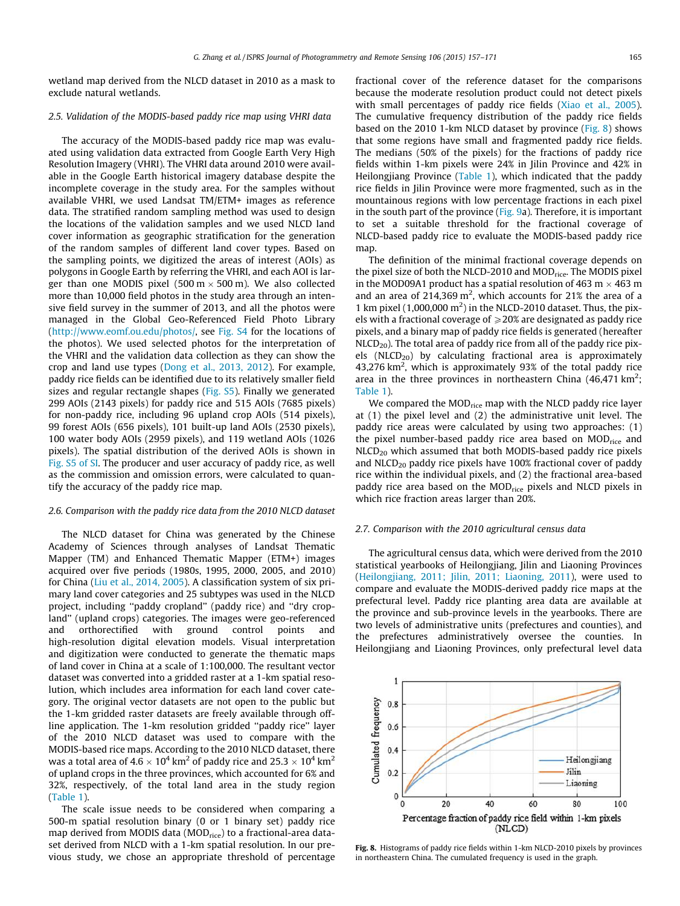wetland map derived from the NLCD dataset in 2010 as a mask to exclude natural wetlands.

### 2.5. Validation of the MODIS-based paddy rice map using VHRI data

The accuracy of the MODIS-based paddy rice map was evaluated using validation data extracted from Google Earth Very High Resolution Imagery (VHRI). The VHRI data around 2010 were available in the Google Earth historical imagery database despite the incomplete coverage in the study area. For the samples without available VHRI, we used Landsat TM/ETM+ images as reference data. The stratified random sampling method was used to design the locations of the validation samples and we used NLCD land cover information as geographic stratification for the generation of the random samples of different land cover types. Based on the sampling points, we digitized the areas of interest (AOIs) as polygons in Google Earth by referring the VHRI, and each AOI is larger than one MODIS pixel (500 m $\times$ 500 m). We also collected more than 10,000 field photos in the study area through an intensive field survey in the summer of 2013, and all the photos were managed in the Global Geo-Referenced Field Photo Library (<http://www.eomf.ou.edu/photos/>, see Fig. S4 for the locations of the photos). We used selected photos for the interpretation of the VHRI and the validation data collection as they can show the crop and land use types ([Dong et al., 2013, 2012](#page-13-0)). For example, paddy rice fields can be identified due to its relatively smaller field sizes and regular rectangle shapes (Fig. S5). Finally we generated 299 AOIs (2143 pixels) for paddy rice and 515 AOIs (7685 pixels) for non-paddy rice, including 96 upland crop AOIs (514 pixels), 99 forest AOIs (656 pixels), 101 built-up land AOIs (2530 pixels), 100 water body AOIs (2959 pixels), and 119 wetland AOIs (1026 pixels). The spatial distribution of the derived AOIs is shown in Fig. S5 of SI. The producer and user accuracy of paddy rice, as well as the commission and omission errors, were calculated to quantify the accuracy of the paddy rice map.

#### 2.6. Comparison with the paddy rice data from the 2010 NLCD dataset

The NLCD dataset for China was generated by the Chinese Academy of Sciences through analyses of Landsat Thematic Mapper (TM) and Enhanced Thematic Mapper (ETM+) images acquired over five periods (1980s, 1995, 2000, 2005, and 2010) for China ([Liu et al., 2014, 2005](#page-13-0)). A classification system of six primary land cover categories and 25 subtypes was used in the NLCD project, including ''paddy cropland'' (paddy rice) and ''dry cropland'' (upland crops) categories. The images were geo-referenced and orthorectified with ground control points and high-resolution digital elevation models. Visual interpretation and digitization were conducted to generate the thematic maps of land cover in China at a scale of 1:100,000. The resultant vector dataset was converted into a gridded raster at a 1-km spatial resolution, which includes area information for each land cover category. The original vector datasets are not open to the public but the 1-km gridded raster datasets are freely available through offline application. The 1-km resolution gridded ''paddy rice'' layer of the 2010 NLCD dataset was used to compare with the MODIS-based rice maps. According to the 2010 NLCD dataset, there was a total area of 4.6  $\times$   $10^4$  km $^2$  of paddy rice and 25.3  $\times$   $10^4$  km $^2$ of upland crops in the three provinces, which accounted for 6% and 32%, respectively, of the total land area in the study region ([Table 1](#page-2-0)).

The scale issue needs to be considered when comparing a 500-m spatial resolution binary (0 or 1 binary set) paddy rice map derived from MODIS data (MOD<sub>rice</sub>) to a fractional-area dataset derived from NLCD with a 1-km spatial resolution. In our previous study, we chose an appropriate threshold of percentage fractional cover of the reference dataset for the comparisons because the moderate resolution product could not detect pixels with small percentages of paddy rice fields ([Xiao et al., 2005\)](#page-14-0). The cumulative frequency distribution of the paddy rice fields based on the 2010 1-km NLCD dataset by province (Fig. 8) shows that some regions have small and fragmented paddy rice fields. The medians (50% of the pixels) for the fractions of paddy rice fields within 1-km pixels were 24% in Jilin Province and 42% in Heilongjiang Province [\(Table 1\)](#page-2-0), which indicated that the paddy rice fields in Jilin Province were more fragmented, such as in the mountainous regions with low percentage fractions in each pixel in the south part of the province [\(Fig. 9](#page-9-0)a). Therefore, it is important to set a suitable threshold for the fractional coverage of NLCD-based paddy rice to evaluate the MODIS-based paddy rice map.

The definition of the minimal fractional coverage depends on the pixel size of both the NLCD-2010 and MOD<sub>rice</sub>. The MODIS pixel in the MOD09A1 product has a spatial resolution of 463 m  $\times$  463 m and an area of  $214,369$  m<sup>2</sup>, which accounts for  $21\%$  the area of a 1 km pixel (1,000,000  $m<sup>2</sup>$ ) in the NLCD-2010 dataset. Thus, the pixels with a fractional coverage of  $\geq$ 20% are designated as paddy rice pixels, and a binary map of paddy rice fields is generated (hereafter  $NLCD<sub>20</sub>$ ). The total area of paddy rice from all of the paddy rice pixels (NLCD<sub>20</sub>) by calculating fractional area is approximately  $43,276$  km<sup>2</sup>, which is approximately  $93\%$  of the total paddy rice area in the three provinces in northeastern China  $(46,471 \text{ km}^2;$ [Table 1](#page-2-0)).

We compared the  $MOD_{\text{rice}}$  map with the NLCD paddy rice layer at (1) the pixel level and (2) the administrative unit level. The paddy rice areas were calculated by using two approaches: (1) the pixel number-based paddy rice area based on  $MOD_{\text{rice}}$  and  $NLCD_{20}$  which assumed that both MODIS-based paddy rice pixels and NLCD<sub>20</sub> paddy rice pixels have 100% fractional cover of paddy rice within the individual pixels, and (2) the fractional area-based paddy rice area based on the MOD<sub>rice</sub> pixels and NLCD pixels in which rice fraction areas larger than 20%.

### 2.7. Comparison with the 2010 agricultural census data

The agricultural census data, which were derived from the 2010 statistical yearbooks of Heilongjiang, Jilin and Liaoning Provinces ([Heilongjiang, 2011; Jilin, 2011; Liaoning, 2011](#page-13-0)), were used to compare and evaluate the MODIS-derived paddy rice maps at the prefectural level. Paddy rice planting area data are available at the province and sub-province levels in the yearbooks. There are two levels of administrative units (prefectures and counties), and the prefectures administratively oversee the counties. In Heilongjiang and Liaoning Provinces, only prefectural level data



Fig. 8. Histograms of paddy rice fields within 1-km NLCD-2010 pixels by provinces in northeastern China. The cumulated frequency is used in the graph.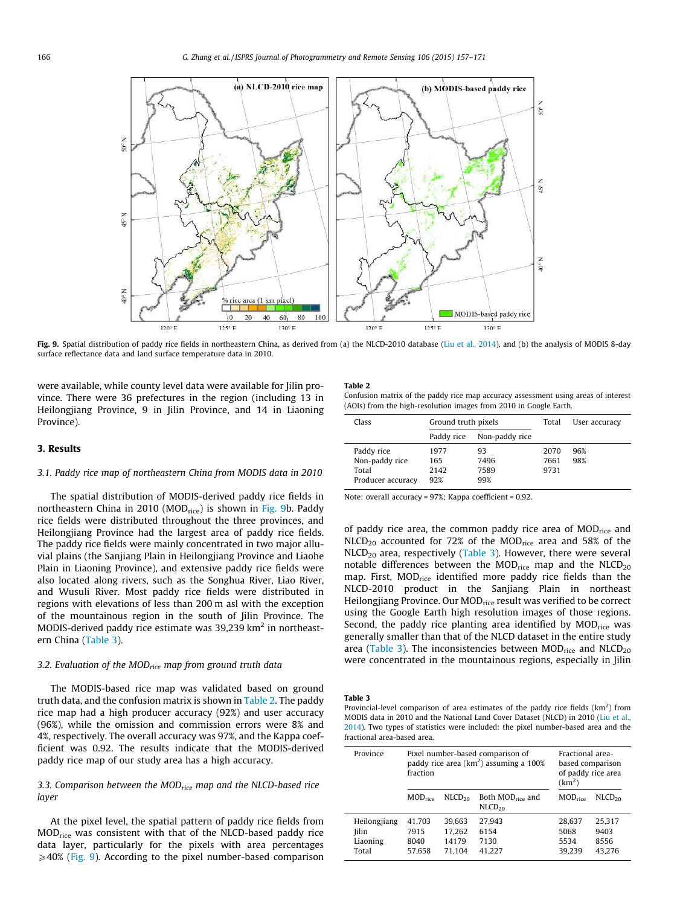<span id="page-9-0"></span>

Fig. 9. Spatial distribution of paddy rice fields in northeastern China, as derived from (a) the NLCD-2010 database ([Liu et al., 2014\)](#page-13-0), and (b) the analysis of MODIS 8-day surface reflectance data and land surface temperature data in 2010.

were available, while county level data were available for Jilin province. There were 36 prefectures in the region (including 13 in Heilongjiang Province, 9 in Jilin Province, and 14 in Liaoning Province).

#### 3. Results

## 3.1. Paddy rice map of northeastern China from MODIS data in 2010

The spatial distribution of MODIS-derived paddy rice fields in northeastern China in 2010 (MOD<sub>rice</sub>) is shown in Fig. 9b. Paddy rice fields were distributed throughout the three provinces, and Heilongjiang Province had the largest area of paddy rice fields. The paddy rice fields were mainly concentrated in two major alluvial plains (the Sanjiang Plain in Heilongjiang Province and Liaohe Plain in Liaoning Province), and extensive paddy rice fields were also located along rivers, such as the Songhua River, Liao River, and Wusuli River. Most paddy rice fields were distributed in regions with elevations of less than 200 m asl with the exception of the mountainous region in the south of Jilin Province. The MODIS-derived paddy rice estimate was 39,239 km<sup>2</sup> in northeastern China (Table 3).

## 3.2. Evaluation of the MOD<sub>rice</sub> map from ground truth data

The MODIS-based rice map was validated based on ground truth data, and the confusion matrix is shown in Table 2. The paddy rice map had a high producer accuracy (92%) and user accuracy (96%), while the omission and commission errors were 8% and 4%, respectively. The overall accuracy was 97%, and the Kappa coefficient was 0.92. The results indicate that the MODIS-derived paddy rice map of our study area has a high accuracy.

# 3.3. Comparison between the  $MOD_{rice}$  map and the NLCD-based rice layer

At the pixel level, the spatial pattern of paddy rice fields from MODrice was consistent with that of the NLCD-based paddy rice data layer, particularly for the pixels with area percentages  $\geqslant$  40% (Fig. 9). According to the pixel number-based comparison

#### Table 2

Confusion matrix of the paddy rice map accuracy assessment using areas of interest (AOIs) from the high-resolution images from 2010 in Google Earth.

| Class                                                      | Ground truth pixels        |                           | Total                | User accuracy |
|------------------------------------------------------------|----------------------------|---------------------------|----------------------|---------------|
|                                                            | Paddy rice                 | Non-paddy rice            |                      |               |
| Paddy rice<br>Non-paddy rice<br>Total<br>Producer accuracy | 1977<br>165<br>2142<br>92% | 93<br>7496<br>7589<br>99% | 2070<br>7661<br>9731 | 96%<br>98%    |

Note: overall accuracy = 97%; Kappa coefficient = 0.92.

of paddy rice area, the common paddy rice area of  $MOD_{\text{rice}}$  and NLCD<sub>20</sub> accounted for 72% of the MOD<sub>rice</sub> area and 58% of the  $NLCD_{20}$  area, respectively (Table 3). However, there were several notable differences between the  $MOD_{\text{rice}}$  map and the  $NLCD_{20}$ map. First, MOD<sub>rice</sub> identified more paddy rice fields than the NLCD-2010 product in the Sanjiang Plain in northeast Heilongjiang Province. Our MOD<sub>rice</sub> result was verified to be correct using the Google Earth high resolution images of those regions. Second, the paddy rice planting area identified by  $MOD_{\text{rice}}$  was generally smaller than that of the NLCD dataset in the entire study area (Table 3). The inconsistencies between  $MOD_{\text{rice}}$  and  $NLCD_{20}$ were concentrated in the mountainous regions, especially in Jilin

#### Table 3

Provincial-level comparison of area estimates of the paddy rice fields  $(km<sup>2</sup>)$  from MODIS data in 2010 and the National Land Cover Dataset (NLCD) in 2010 ([Liu et al.,](#page-13-0) [2014\)](#page-13-0). Two types of statistics were included: the pixel number-based area and the fractional area-based area.

| Province                                          | fraction                         | Pixel number-based comparison of<br>paddy rice area ( $km2$ ) assuming a 100% |                                                    | Fractional area-<br>based comparison<br>of paddy rice area<br>(km <sup>2</sup> ) |                                  |
|---------------------------------------------------|----------------------------------|-------------------------------------------------------------------------------|----------------------------------------------------|----------------------------------------------------------------------------------|----------------------------------|
|                                                   | $MOD_{\text{rice}}$              | NLCD <sub>20</sub>                                                            | Both MOD <sub>rice</sub> and<br>NLCD <sub>20</sub> | $MOD_{\text{rice}}$                                                              | NLCD <sub>20</sub>               |
| Heilongjiang<br><b>Jilin</b><br>Liaoning<br>Total | 41.703<br>7915<br>8040<br>57.658 | 39.663<br>17.262<br>14179<br>71.104                                           | 27.943<br>6154<br>7130<br>41.227                   | 28.637<br>5068<br>5534<br>39.239                                                 | 25.317<br>9403<br>8556<br>43.276 |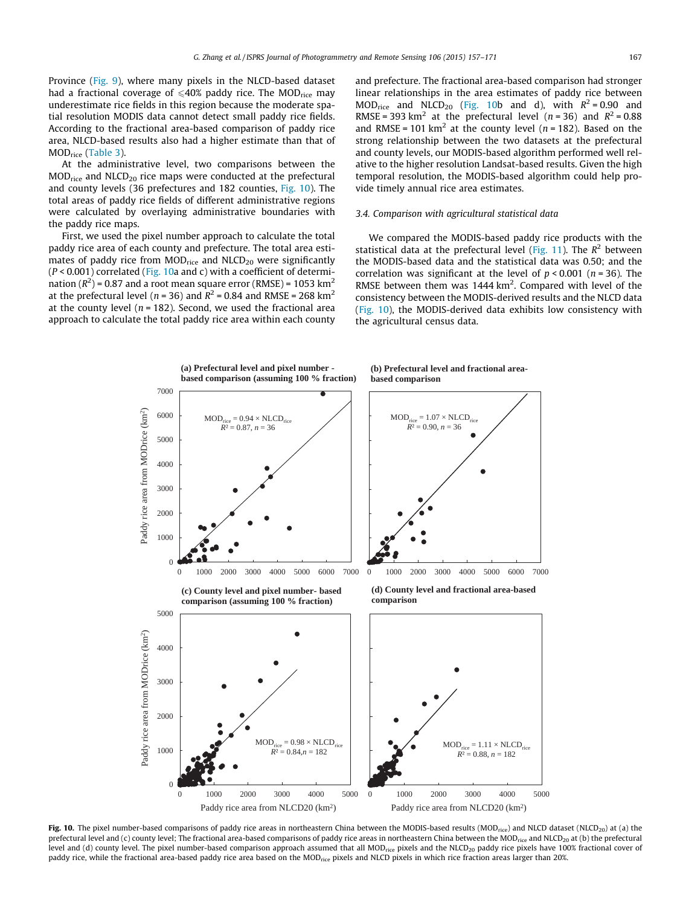<span id="page-10-0"></span>Province ([Fig. 9](#page-9-0)), where many pixels in the NLCD-based dataset had a fractional coverage of  $\leq 40\%$  paddy rice. The MOD<sub>rice</sub> may underestimate rice fields in this region because the moderate spatial resolution MODIS data cannot detect small paddy rice fields. According to the fractional area-based comparison of paddy rice area, NLCD-based results also had a higher estimate than that of MODrice ([Table 3\)](#page-9-0).

At the administrative level, two comparisons between the  $MOD<sub>rice</sub>$  and  $NLCD<sub>20</sub>$  rice maps were conducted at the prefectural and county levels (36 prefectures and 182 counties, Fig. 10). The total areas of paddy rice fields of different administrative regions were calculated by overlaying administrative boundaries with the paddy rice maps.

First, we used the pixel number approach to calculate the total paddy rice area of each county and prefecture. The total area estimates of paddy rice from  $MOD_{\text{rice}}$  and  $NLCD_{20}$  were significantly  $(P < 0.001)$  correlated (Fig. 10a and c) with a coefficient of determination ( $R^2$ ) = 0.87 and a root mean square error (RMSE) = 1053 km<sup>2</sup> at the prefectural level ( $n = 36$ ) and  $R^2 = 0.84$  and RMSE = 268 km<sup>2</sup> at the county level ( $n = 182$ ). Second, we used the fractional area approach to calculate the total paddy rice area within each county and prefecture. The fractional area-based comparison had stronger linear relationships in the area estimates of paddy rice between MOD<sub>rice</sub> and NLCD<sub>20</sub> (Fig. 10b and d), with  $R^2 = 0.90$  and RMSE = 393 km<sup>2</sup> at the prefectural level ( $n = 36$ ) and  $R^2 = 0.88$ and RMSE = 101 km<sup>2</sup> at the county level ( $n = 182$ ). Based on the strong relationship between the two datasets at the prefectural and county levels, our MODIS-based algorithm performed well relative to the higher resolution Landsat-based results. Given the high temporal resolution, the MODIS-based algorithm could help provide timely annual rice area estimates.

#### 3.4. Comparison with agricultural statistical data

We compared the MODIS-based paddy rice products with the statistical data at the prefectural level ([Fig. 11\)](#page-11-0). The  $R^2$  between the MODIS-based data and the statistical data was 0.50; and the correlation was significant at the level of  $p < 0.001$  ( $n = 36$ ). The RMSE between them was  $1444 \text{ km}^2$ . Compared with level of the consistency between the MODIS-derived results and the NLCD data (Fig. 10), the MODIS-derived data exhibits low consistency with the agricultural census data.



Fig. 10. The pixel number-based comparisons of paddy rice areas in northeastern China between the MODIS-based results (MOD<sub>rice</sub>) and NLCD dataset (NLCD<sub>20</sub>) at (a) the prefectural level and (c) county level; The fractional area-based comparisons of paddy rice areas in northeastern China between the MOD<sub>rice</sub> and NLCD<sub>20</sub> at (b) the prefectural level and (d) county level. The pixel number-based comparison approach assumed that all MOD<sub>rice</sub> pixels and the NLCD<sub>20</sub> paddy rice pixels have 100% fractional cover of paddy rice, while the fractional area-based paddy rice area based on the MOD<sub>rice</sub> pixels and NLCD pixels in which rice fraction areas larger than 20%.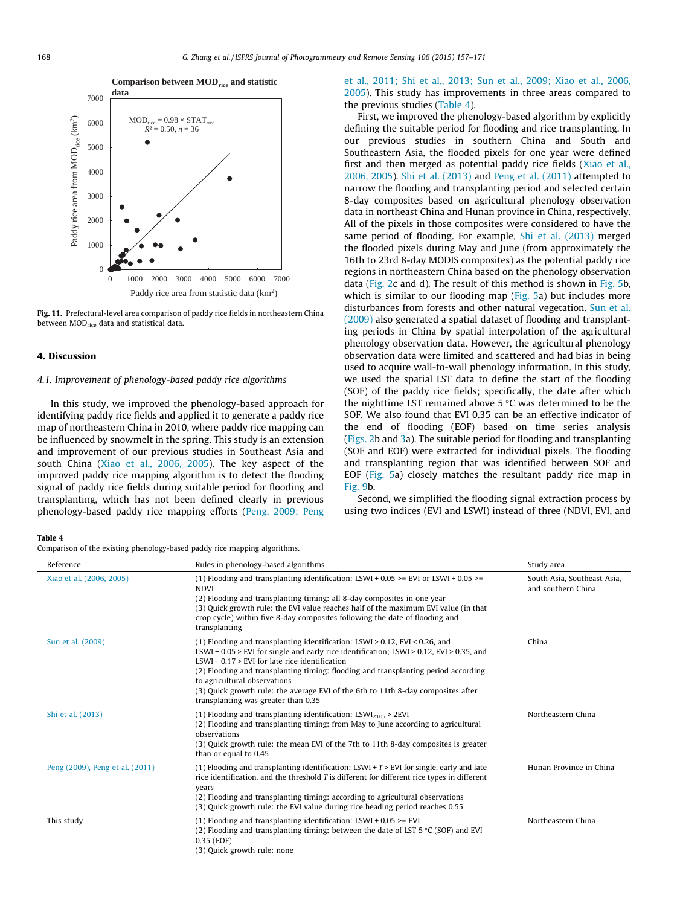<span id="page-11-0"></span>

Fig. 11. Prefectural-level area comparison of paddy rice fields in northeastern China between MOD<sub>rice</sub> data and statistical data.

#### 4. Discussion

# 4.1. Improvement of phenology-based paddy rice algorithms

In this study, we improved the phenology-based approach for identifying paddy rice fields and applied it to generate a paddy rice map of northeastern China in 2010, where paddy rice mapping can be influenced by snowmelt in the spring. This study is an extension and improvement of our previous studies in Southeast Asia and south China ([Xiao et al., 2006, 2005](#page-13-0)). The key aspect of the improved paddy rice mapping algorithm is to detect the flooding signal of paddy rice fields during suitable period for flooding and transplanting, which has not been defined clearly in previous phenology-based paddy rice mapping efforts ([Peng, 2009; Peng](#page-13-0) [et al., 2011; Shi et al., 2013; Sun et al., 2009; Xiao et al., 2006,](#page-13-0) [2005\)](#page-13-0). This study has improvements in three areas compared to the previous studies (Table 4).

First, we improved the phenology-based algorithm by explicitly defining the suitable period for flooding and rice transplanting. In our previous studies in southern China and South and Southeastern Asia, the flooded pixels for one year were defined first and then merged as potential paddy rice fields [\(Xiao et al.,](#page-13-0) [2006, 2005](#page-13-0)). [Shi et al. \(2013\)](#page-13-0) and [Peng et al. \(2011\)](#page-13-0) attempted to narrow the flooding and transplanting period and selected certain 8-day composites based on agricultural phenology observation data in northeast China and Hunan province in China, respectively. All of the pixels in those composites were considered to have the same period of flooding. For example, [Shi et al. \(2013\)](#page-13-0) merged the flooded pixels during May and June (from approximately the 16th to 23rd 8-day MODIS composites) as the potential paddy rice regions in northeastern China based on the phenology observation data ([Fig. 2](#page-3-0)c and d). The result of this method is shown in [Fig. 5](#page-6-0)b, which is similar to our flooding map ([Fig. 5a](#page-6-0)) but includes more disturbances from forests and other natural vegetation. [Sun et al.](#page-13-0) [\(2009\)](#page-13-0) also generated a spatial dataset of flooding and transplanting periods in China by spatial interpolation of the agricultural phenology observation data. However, the agricultural phenology observation data were limited and scattered and had bias in being used to acquire wall-to-wall phenology information. In this study, we used the spatial LST data to define the start of the flooding (SOF) of the paddy rice fields; specifically, the date after which the nighttime LST remained above  $5^{\circ}$ C was determined to be the SOF. We also found that EVI 0.35 can be an effective indicator of the end of flooding (EOF) based on time series analysis ([Figs. 2](#page-3-0)b and [3a](#page-4-0)). The suitable period for flooding and transplanting (SOF and EOF) were extracted for individual pixels. The flooding and transplanting region that was identified between SOF and EOF ([Fig. 5a](#page-6-0)) closely matches the resultant paddy rice map in [Fig. 9](#page-9-0)b.

Second, we simplified the flooding signal extraction process by using two indices (EVI and LSWI) instead of three (NDVI, EVI, and

Table 4

Comparison of the existing phenology-based paddy rice mapping algorithms.

| Reference                       | Rules in phenology-based algorithms                                                                                                                                                                                                                                                                                                                                                                                                                                            | Study area                                        |
|---------------------------------|--------------------------------------------------------------------------------------------------------------------------------------------------------------------------------------------------------------------------------------------------------------------------------------------------------------------------------------------------------------------------------------------------------------------------------------------------------------------------------|---------------------------------------------------|
| Xiao et al. (2006, 2005)        | (1) Flooding and transplanting identification: LSWI + $0.05$ >= EVI or LSWI + $0.05$ >=<br><b>NDVI</b><br>(2) Flooding and transplanting timing: all 8-day composites in one year<br>(3) Quick growth rule: the EVI value reaches half of the maximum EVI value (in that<br>crop cycle) within five 8-day composites following the date of flooding and<br>transplanting                                                                                                       | South Asia, Southeast Asia,<br>and southern China |
| Sun et al. (2009)               | $(1)$ Flooding and transplanting identification: LSWI > 0.12, EVI < 0.26, and<br>LSWI + 0.05 > EVI for single and early rice identification; LSWI > 0.12, EVI > 0.35, and<br>$LSWI + 0.17 > EVI$ for late rice identification<br>(2) Flooding and transplanting timing: flooding and transplanting period according<br>to agricultural observations<br>(3) Quick growth rule: the average EVI of the 6th to 11th 8-day composites after<br>transplanting was greater than 0.35 | China                                             |
| Shi et al. (2013)               | (1) Flooding and transplanting identification: LSWI <sub>2105</sub> > 2EVI<br>(2) Flooding and transplanting timing: from May to June according to agricultural<br>observations<br>(3) Quick growth rule: the mean EVI of the 7th to 11th 8-day composites is greater<br>than or equal to 0.45                                                                                                                                                                                 | Northeastern China                                |
| Peng (2009), Peng et al. (2011) | (1) Flooding and transplanting identification: LSWI + $T$ > EVI for single, early and late<br>rice identification, and the threshold T is different for different rice types in different<br>years<br>(2) Flooding and transplanting timing: according to agricultural observations<br>(3) Quick growth rule: the EVI value during rice heading period reaches 0.55                                                                                                            | Hunan Province in China                           |
| This study                      | $(1)$ Flooding and transplanting identification: LSWI + 0.05 >= EVI<br>(2) Flooding and transplanting timing: between the date of LST $5^{\circ}$ C (SOF) and EVI<br>0.35 (EOF)<br>(3) Quick growth rule: none                                                                                                                                                                                                                                                                 | Northeastern China                                |

Comparison between  $\mathrm{MOD}_\mathrm{rice}$  and statistic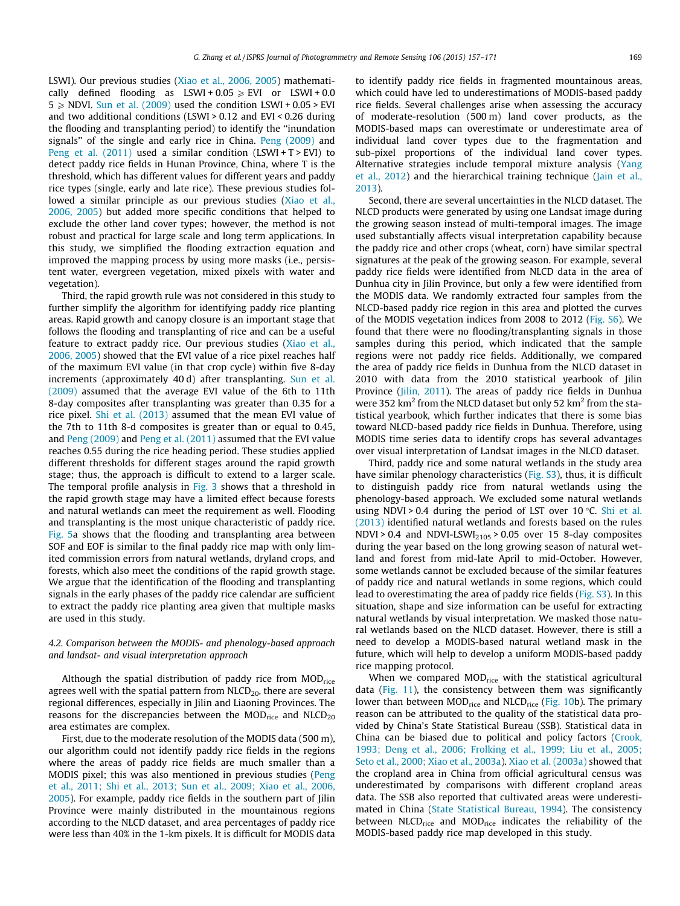LSWI). Our previous studies ([Xiao et al., 2006, 2005\)](#page-13-0) mathematically defined flooding as LSWI + 0.05  $\ge$  EVI or LSWI + 0.0  $5 \geq N$ DVI. [Sun et al. \(2009\)](#page-13-0) used the condition LSWI + 0.05 > EVI and two additional conditions (LSWI > 0.12 and EVI < 0.26 during the flooding and transplanting period) to identify the ''inundation signals'' of the single and early rice in China. [Peng \(2009\)](#page-13-0) and Peng et al.  $(2011)$  used a similar condition  $(LSWI + T > EVI)$  to detect paddy rice fields in Hunan Province, China, where T is the threshold, which has different values for different years and paddy rice types (single, early and late rice). These previous studies followed a similar principle as our previous studies ([Xiao et al.,](#page-13-0) [2006, 2005](#page-13-0)) but added more specific conditions that helped to exclude the other land cover types; however, the method is not robust and practical for large scale and long term applications. In this study, we simplified the flooding extraction equation and improved the mapping process by using more masks (i.e., persistent water, evergreen vegetation, mixed pixels with water and vegetation).

Third, the rapid growth rule was not considered in this study to further simplify the algorithm for identifying paddy rice planting areas. Rapid growth and canopy closure is an important stage that follows the flooding and transplanting of rice and can be a useful feature to extract paddy rice. Our previous studies ([Xiao et al.,](#page-13-0) [2006, 2005\)](#page-13-0) showed that the EVI value of a rice pixel reaches half of the maximum EVI value (in that crop cycle) within five 8-day increments (approximately 40 d) after transplanting. [Sun et al.](#page-13-0) [\(2009\)](#page-13-0) assumed that the average EVI value of the 6th to 11th 8-day composites after transplanting was greater than 0.35 for a rice pixel. [Shi et al. \(2013\)](#page-13-0) assumed that the mean EVI value of the 7th to 11th 8-d composites is greater than or equal to 0.45, and [Peng \(2009\)](#page-13-0) and [Peng et al. \(2011\)](#page-13-0) assumed that the EVI value reaches 0.55 during the rice heading period. These studies applied different thresholds for different stages around the rapid growth stage; thus, the approach is difficult to extend to a larger scale. The temporal profile analysis in [Fig. 3](#page-4-0) shows that a threshold in the rapid growth stage may have a limited effect because forests and natural wetlands can meet the requirement as well. Flooding and transplanting is the most unique characteristic of paddy rice. [Fig. 5](#page-6-0)a shows that the flooding and transplanting area between SOF and EOF is similar to the final paddy rice map with only limited commission errors from natural wetlands, dryland crops, and forests, which also meet the conditions of the rapid growth stage. We argue that the identification of the flooding and transplanting signals in the early phases of the paddy rice calendar are sufficient to extract the paddy rice planting area given that multiple masks are used in this study.

# 4.2. Comparison between the MODIS- and phenology-based approach and landsat- and visual interpretation approach

Although the spatial distribution of paddy rice from MOD<sub>rice</sub> agrees well with the spatial pattern from  $NLCD_{20}$ , there are several regional differences, especially in Jilin and Liaoning Provinces. The reasons for the discrepancies between the  $MOD_{\text{rice}}$  and  $NLCD_{20}$ area estimates are complex.

First, due to the moderate resolution of the MODIS data (500 m), our algorithm could not identify paddy rice fields in the regions where the areas of paddy rice fields are much smaller than a MODIS pixel; this was also mentioned in previous studies [\(Peng](#page-13-0) [et al., 2011; Shi et al., 2013; Sun et al., 2009; Xiao et al., 2006,](#page-13-0) [2005](#page-13-0)). For example, paddy rice fields in the southern part of Jilin Province were mainly distributed in the mountainous regions according to the NLCD dataset, and area percentages of paddy rice were less than 40% in the 1-km pixels. It is difficult for MODIS data to identify paddy rice fields in fragmented mountainous areas, which could have led to underestimations of MODIS-based paddy rice fields. Several challenges arise when assessing the accuracy of moderate-resolution (500 m) land cover products, as the MODIS-based maps can overestimate or underestimate area of individual land cover types due to the fragmentation and sub-pixel proportions of the individual land cover types. Alternative strategies include temporal mixture analysis ([Yang](#page-14-0) [et al., 2012\)](#page-14-0) and the hierarchical training technique ([Jain et al.,](#page-13-0) [2013](#page-13-0)).

Second, there are several uncertainties in the NLCD dataset. The NLCD products were generated by using one Landsat image during the growing season instead of multi-temporal images. The image used substantially affects visual interpretation capability because the paddy rice and other crops (wheat, corn) have similar spectral signatures at the peak of the growing season. For example, several paddy rice fields were identified from NLCD data in the area of Dunhua city in Jilin Province, but only a few were identified from the MODIS data. We randomly extracted four samples from the NLCD-based paddy rice region in this area and plotted the curves of the MODIS vegetation indices from 2008 to 2012 (Fig. S6). We found that there were no flooding/transplanting signals in those samples during this period, which indicated that the sample regions were not paddy rice fields. Additionally, we compared the area of paddy rice fields in Dunhua from the NLCD dataset in 2010 with data from the 2010 statistical yearbook of Jilin Province ([Jilin, 2011\)](#page-13-0). The areas of paddy rice fields in Dunhua were 352 km<sup>2</sup> from the NLCD dataset but only 52 km<sup>2</sup> from the statistical yearbook, which further indicates that there is some bias toward NLCD-based paddy rice fields in Dunhua. Therefore, using MODIS time series data to identify crops has several advantages over visual interpretation of Landsat images in the NLCD dataset.

Third, paddy rice and some natural wetlands in the study area have similar phenology characteristics (Fig. S3), thus, it is difficult to distinguish paddy rice from natural wetlands using the phenology-based approach. We excluded some natural wetlands using NDVI > 0.4 during the period of LST over 10  $\degree$ C. [Shi et al.](#page-13-0) [\(2013\)](#page-13-0) identified natural wetlands and forests based on the rules NDVI > 0.4 and NDVI-LSWI $_{2105}$  > 0.05 over 15 8-day composites during the year based on the long growing season of natural wetland and forest from mid-late April to mid-October. However, some wetlands cannot be excluded because of the similar features of paddy rice and natural wetlands in some regions, which could lead to overestimating the area of paddy rice fields (Fig. S3). In this situation, shape and size information can be useful for extracting natural wetlands by visual interpretation. We masked those natural wetlands based on the NLCD dataset. However, there is still a need to develop a MODIS-based natural wetland mask in the future, which will help to develop a uniform MODIS-based paddy rice mapping protocol.

When we compared MOD<sub>rice</sub> with the statistical agricultural data [\(Fig. 11](#page-11-0)), the consistency between them was significantly lower than between MOD<sub>rice</sub> and NLCD<sub>rice</sub> ([Fig. 10](#page-10-0)b). The primary reason can be attributed to the quality of the statistical data provided by China's State Statistical Bureau (SSB). Statistical data in China can be biased due to political and policy factors ([Crook,](#page-13-0) [1993; Deng et al., 2006; Frolking et al., 1999; Liu et al., 2005;](#page-13-0) [Seto et al., 2000; Xiao et al., 2003a](#page-13-0)). [Xiao et al. \(2003a\)](#page-14-0) showed that the cropland area in China from official agricultural census was underestimated by comparisons with different cropland areas data. The SSB also reported that cultivated areas were underestimated in China [\(State Statistical Bureau, 1994\)](#page-13-0). The consistency between NLCD<sub>rice</sub> and MOD<sub>rice</sub> indicates the reliability of the MODIS-based paddy rice map developed in this study.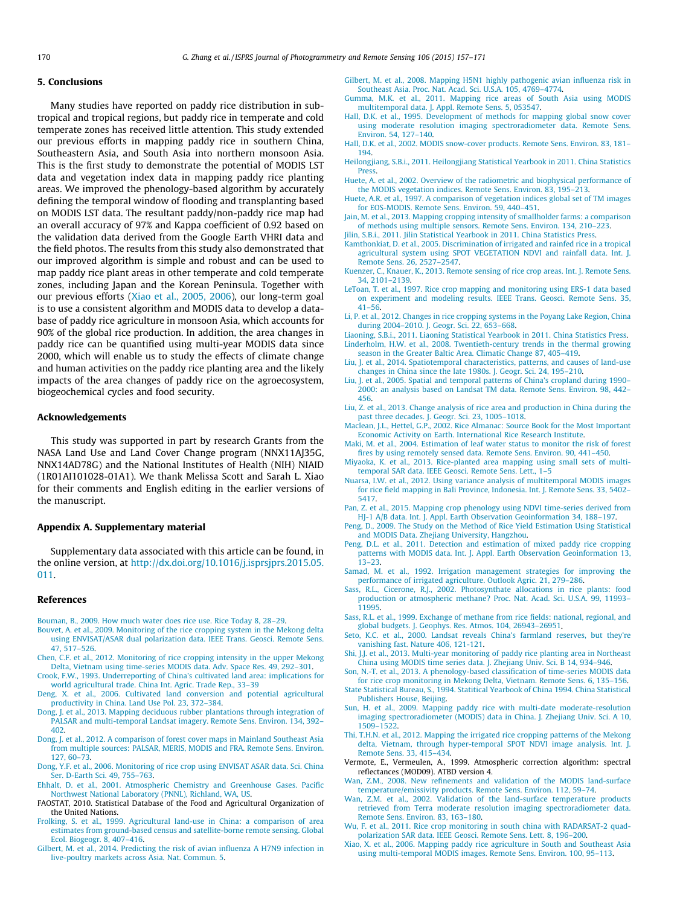## <span id="page-13-0"></span>5. Conclusions

Many studies have reported on paddy rice distribution in subtropical and tropical regions, but paddy rice in temperate and cold temperate zones has received little attention. This study extended our previous efforts in mapping paddy rice in southern China, Southeastern Asia, and South Asia into northern monsoon Asia. This is the first study to demonstrate the potential of MODIS LST data and vegetation index data in mapping paddy rice planting areas. We improved the phenology-based algorithm by accurately defining the temporal window of flooding and transplanting based on MODIS LST data. The resultant paddy/non-paddy rice map had an overall accuracy of 97% and Kappa coefficient of 0.92 based on the validation data derived from the Google Earth VHRI data and the field photos. The results from this study also demonstrated that our improved algorithm is simple and robust and can be used to map paddy rice plant areas in other temperate and cold temperate zones, including Japan and the Korean Peninsula. Together with our previous efforts [\(Xiao et al., 2005, 2006\)](#page-14-0), our long-term goal is to use a consistent algorithm and MODIS data to develop a database of paddy rice agriculture in monsoon Asia, which accounts for 90% of the global rice production. In addition, the area changes in paddy rice can be quantified using multi-year MODIS data since 2000, which will enable us to study the effects of climate change and human activities on the paddy rice planting area and the likely impacts of the area changes of paddy rice on the agroecosystem, biogeochemical cycles and food security.

# Acknowledgements

This study was supported in part by research Grants from the NASA Land Use and Land Cover Change program (NNX11AJ35G, NNX14AD78G) and the National Institutes of Health (NIH) NIAID (1R01AI101028-01A1). We thank Melissa Scott and Sarah L. Xiao for their comments and English editing in the earlier versions of the manuscript.

#### Appendix A. Supplementary material

Supplementary data associated with this article can be found, in the online version, at [http://dx.doi.org/10.1016/j.isprsjprs.2015.05.](http://dx.doi.org/10.1016/j.isprsjprs.2015.05.011) [011.](http://dx.doi.org/10.1016/j.isprsjprs.2015.05.011)

#### References

- [Bouman, B., 2009. How much water does rice use. Rice Today 8, 28–29.](http://refhub.elsevier.com/S0924-2716(15)00148-3/h0005)
- [Bouvet, A. et al., 2009. Monitoring of the rice cropping system in the Mekong delta](http://refhub.elsevier.com/S0924-2716(15)00148-3/h0010) [using ENVISAT/ASAR dual polarization data. IEEE Trans. Geosci. Remote Sens.](http://refhub.elsevier.com/S0924-2716(15)00148-3/h0010) [47, 517–526.](http://refhub.elsevier.com/S0924-2716(15)00148-3/h0010)
- [Chen, C.F. et al., 2012. Monitoring of rice cropping intensity in the upper Mekong](http://refhub.elsevier.com/S0924-2716(15)00148-3/h0015) [Delta, Vietnam using time-series MODIS data. Adv. Space Res. 49, 292–301](http://refhub.elsevier.com/S0924-2716(15)00148-3/h0015).
- [Crook, F.W., 1993. Underreporting of China's cultivated land area: implications for](http://refhub.elsevier.com/S0924-2716(15)00148-3/h0020) [world agricultural trade. China Int. Agric. Trade Rep., 33–39](http://refhub.elsevier.com/S0924-2716(15)00148-3/h0020)
- [Deng, X. et al., 2006. Cultivated land conversion and potential agricultural](http://refhub.elsevier.com/S0924-2716(15)00148-3/h0025) [productivity in China. Land Use Pol. 23, 372–384.](http://refhub.elsevier.com/S0924-2716(15)00148-3/h0025)
- [Dong, J. et al., 2013. Mapping deciduous rubber plantations through integration of](http://refhub.elsevier.com/S0924-2716(15)00148-3/h0030) [PALSAR and multi-temporal Landsat imagery. Remote Sens. Environ. 134, 392–](http://refhub.elsevier.com/S0924-2716(15)00148-3/h0030) [402](http://refhub.elsevier.com/S0924-2716(15)00148-3/h0030).
- [Dong, J. et al., 2012. A comparison of forest cover maps in Mainland Southeast Asia](http://refhub.elsevier.com/S0924-2716(15)00148-3/h0035) [from multiple sources: PALSAR, MERIS, MODIS and FRA. Remote Sens. Environ.](http://refhub.elsevier.com/S0924-2716(15)00148-3/h0035) [127, 60–73.](http://refhub.elsevier.com/S0924-2716(15)00148-3/h0035)
- [Dong, Y.F. et al., 2006. Monitoring of rice crop using ENVISAT ASAR data. Sci. China](http://refhub.elsevier.com/S0924-2716(15)00148-3/h0040) [Ser. D-Earth Sci. 49, 755–763.](http://refhub.elsevier.com/S0924-2716(15)00148-3/h0040)
- [Ehhalt, D. et al., 2001. Atmospheric Chemistry and Greenhouse Gases. Pacific](http://refhub.elsevier.com/S0924-2716(15)00148-3/h0045) [Northwest National Laboratory \(PNNL\), Richland, WA, US](http://refhub.elsevier.com/S0924-2716(15)00148-3/h0045).
- FAOSTAT, 2010. Statistical Database of the Food and Agricultural Organization of the United Nations.
- [Frolking, S. et al., 1999. Agricultural land-use in China: a comparison of area](http://refhub.elsevier.com/S0924-2716(15)00148-3/h0055) [estimates from ground-based census and satellite-borne remote sensing. Global](http://refhub.elsevier.com/S0924-2716(15)00148-3/h0055) [Ecol. Biogeogr. 8, 407–416](http://refhub.elsevier.com/S0924-2716(15)00148-3/h0055).
- [Gilbert, M. et al., 2014. Predicting the risk of avian influenza A H7N9 infection in](http://refhub.elsevier.com/S0924-2716(15)00148-3/h0060) [live-poultry markets across Asia. Nat. Commun. 5.](http://refhub.elsevier.com/S0924-2716(15)00148-3/h0060)
- [Gilbert, M. et al., 2008. Mapping H5N1 highly pathogenic avian influenza risk in](http://refhub.elsevier.com/S0924-2716(15)00148-3/h0065) [Southeast Asia. Proc. Nat. Acad. Sci. U.S.A. 105, 4769–4774](http://refhub.elsevier.com/S0924-2716(15)00148-3/h0065).
- [Gumma, M.K. et al., 2011. Mapping rice areas of South Asia using MODIS](http://refhub.elsevier.com/S0924-2716(15)00148-3/h0070) [multitemporal data. J. Appl. Remote Sens. 5, 053547.](http://refhub.elsevier.com/S0924-2716(15)00148-3/h0070)
- [Hall, D.K. et al., 1995. Development of methods for mapping global snow cover](http://refhub.elsevier.com/S0924-2716(15)00148-3/h0075) [using moderate resolution imaging spectroradiometer data. Remote Sens.](http://refhub.elsevier.com/S0924-2716(15)00148-3/h0075) [Environ. 54, 127–140.](http://refhub.elsevier.com/S0924-2716(15)00148-3/h0075)
- [Hall, D.K. et al., 2002. MODIS snow-cover products. Remote Sens. Environ. 83, 181–](http://refhub.elsevier.com/S0924-2716(15)00148-3/h0080) [194](http://refhub.elsevier.com/S0924-2716(15)00148-3/h0080).
- [Heilongjiang, S.B.i., 2011. Heilongjiang Statistical Yearbook in 2011. China Statistics](http://refhub.elsevier.com/S0924-2716(15)00148-3/h0085) [Press](http://refhub.elsevier.com/S0924-2716(15)00148-3/h0085).
- [Huete, A. et al., 2002. Overview of the radiometric and biophysical performance of](http://refhub.elsevier.com/S0924-2716(15)00148-3/h0090) [the MODIS vegetation indices. Remote Sens. Environ. 83, 195–213](http://refhub.elsevier.com/S0924-2716(15)00148-3/h0090).
- [Huete, A.R. et al., 1997. A comparison of vegetation indices global set of TM images](http://refhub.elsevier.com/S0924-2716(15)00148-3/h0095) [for EOS-MODIS. Remote Sens. Environ. 59, 440–451](http://refhub.elsevier.com/S0924-2716(15)00148-3/h0095).
- [Jain, M. et al., 2013. Mapping cropping intensity of smallholder farms: a comparison](http://refhub.elsevier.com/S0924-2716(15)00148-3/h0100) [of methods using multiple sensors. Remote Sens. Environ. 134, 210–223](http://refhub.elsevier.com/S0924-2716(15)00148-3/h0100).
- [Jilin, S.B.i., 2011. Jilin Statistical Yearbook in 2011. China Statistics Press](http://refhub.elsevier.com/S0924-2716(15)00148-3/h0105).
- [Kamthonkiat, D. et al., 2005. Discrimination of irrigated and rainfed rice in a tropical](http://refhub.elsevier.com/S0924-2716(15)00148-3/h0110) [agricultural system using SPOT VEGETATION NDVI and rainfall data. Int. J.](http://refhub.elsevier.com/S0924-2716(15)00148-3/h0110) [Remote Sens. 26, 2527–2547.](http://refhub.elsevier.com/S0924-2716(15)00148-3/h0110)
- [Kuenzer, C., Knauer, K., 2013. Remote sensing of rice crop areas. Int. J. Remote Sens.](http://refhub.elsevier.com/S0924-2716(15)00148-3/h0115) [34, 2101–2139](http://refhub.elsevier.com/S0924-2716(15)00148-3/h0115).
- [LeToan, T. et al., 1997. Rice crop mapping and monitoring using ERS-1 data based](http://refhub.elsevier.com/S0924-2716(15)00148-3/h0120) [on experiment and modeling results. IEEE Trans. Geosci. Remote Sens. 35,](http://refhub.elsevier.com/S0924-2716(15)00148-3/h0120) [41–56.](http://refhub.elsevier.com/S0924-2716(15)00148-3/h0120)
- [Li, P. et al., 2012. Changes in rice cropping systems in the Poyang Lake Region, China](http://refhub.elsevier.com/S0924-2716(15)00148-3/h0125) [during 2004–2010. J. Geogr. Sci. 22, 653–668](http://refhub.elsevier.com/S0924-2716(15)00148-3/h0125).
- [Liaoning, S.B.i., 2011. Liaoning Statistical Yearbook in 2011. China Statistics Press.](http://refhub.elsevier.com/S0924-2716(15)00148-3/h0130) [Linderholm, H.W. et al., 2008. Twentieth-century trends in the thermal growing](http://refhub.elsevier.com/S0924-2716(15)00148-3/h0135) [season in the Greater Baltic Area. Climatic Change 87, 405–419.](http://refhub.elsevier.com/S0924-2716(15)00148-3/h0135)
- [Liu, J. et al., 2014. Spatiotemporal characteristics, patterns, and causes of land-use](http://refhub.elsevier.com/S0924-2716(15)00148-3/h0140) [changes in China since the late 1980s. J. Geogr. Sci. 24, 195–210.](http://refhub.elsevier.com/S0924-2716(15)00148-3/h0140)
- [Liu, J. et al., 2005. Spatial and temporal patterns of China's cropland during 1990–](http://refhub.elsevier.com/S0924-2716(15)00148-3/h0145) [2000: an analysis based on Landsat TM data. Remote Sens. Environ. 98, 442–](http://refhub.elsevier.com/S0924-2716(15)00148-3/h0145) [456](http://refhub.elsevier.com/S0924-2716(15)00148-3/h0145).
- [Liu, Z. et al., 2013. Change analysis of rice area and production in China during the](http://refhub.elsevier.com/S0924-2716(15)00148-3/h0150) past three decades. J. Geogr. Sci. 23, 1005-1018.
- [Maclean, J.L., Hettel, G.P., 2002. Rice Almanac: Source Book for the Most Important](http://refhub.elsevier.com/S0924-2716(15)00148-3/h0155) [Economic Activity on Earth. International Rice Research Institute](http://refhub.elsevier.com/S0924-2716(15)00148-3/h0155).
- [Maki, M. et al., 2004. Estimation of leaf water status to monitor the risk of forest](http://refhub.elsevier.com/S0924-2716(15)00148-3/h0160) [fires by using remotely sensed data. Remote Sens. Environ. 90, 441–450](http://refhub.elsevier.com/S0924-2716(15)00148-3/h0160).
- [Miyaoka, K. et al., 2013. Rice-planted area mapping using small sets of multi](http://refhub.elsevier.com/S0924-2716(15)00148-3/h0165)[temporal SAR data. IEEE Geosci. Remote Sens. Lett., 1–5](http://refhub.elsevier.com/S0924-2716(15)00148-3/h0165)
- [Nuarsa, I.W. et al., 2012. Using variance analysis of multitemporal MODIS images](http://refhub.elsevier.com/S0924-2716(15)00148-3/h0170) [for rice field mapping in Bali Province, Indonesia. Int. J. Remote Sens. 33, 5402–](http://refhub.elsevier.com/S0924-2716(15)00148-3/h0170) [5417.](http://refhub.elsevier.com/S0924-2716(15)00148-3/h0170)
- [Pan, Z. et al., 2015. Mapping crop phenology using NDVI time-series derived from](http://refhub.elsevier.com/S0924-2716(15)00148-3/h0175) HJ-1 A/B data. Int. J. Appl. Earth Observation Geoinformation 34, 188-197.
- [Peng, D., 2009. The Study on the Method of Rice Yield Estimation Using Statistical](http://refhub.elsevier.com/S0924-2716(15)00148-3/h0180) [and MODIS Data. Zhejiang University, Hangzhou](http://refhub.elsevier.com/S0924-2716(15)00148-3/h0180).
- [Peng, D.L. et al., 2011. Detection and estimation of mixed paddy rice cropping](http://refhub.elsevier.com/S0924-2716(15)00148-3/h0185) [patterns with MODIS data. Int. J. Appl. Earth Observation Geoinformation 13,](http://refhub.elsevier.com/S0924-2716(15)00148-3/h0185) [13–23.](http://refhub.elsevier.com/S0924-2716(15)00148-3/h0185)
- [Samad, M. et al., 1992. Irrigation management strategies for improving the](http://refhub.elsevier.com/S0924-2716(15)00148-3/h0190) [performance of irrigated agriculture. Outlook Agric. 21, 279–286.](http://refhub.elsevier.com/S0924-2716(15)00148-3/h0190)
- [Sass, R.L., Cicerone, R.J., 2002. Photosynthate allocations in rice plants: food](http://refhub.elsevier.com/S0924-2716(15)00148-3/h0195) [production or atmospheric methane? Proc. Nat. Acad. Sci. U.S.A. 99, 11993–](http://refhub.elsevier.com/S0924-2716(15)00148-3/h0195) [11995.](http://refhub.elsevier.com/S0924-2716(15)00148-3/h0195)
- [Sass, R.L. et al., 1999. Exchange of methane from rice fields: national, regional, and](http://refhub.elsevier.com/S0924-2716(15)00148-3/h0200) [global budgets. J. Geophys. Res. Atmos. 104, 26943–26951.](http://refhub.elsevier.com/S0924-2716(15)00148-3/h0200)
- [Seto, K.C. et al., 2000. Landsat reveals China's farmland reserves, but they're](http://refhub.elsevier.com/S0924-2716(15)00148-3/h0205) [vanishing fast. Nature 406, 121-121](http://refhub.elsevier.com/S0924-2716(15)00148-3/h0205).
- [Shi, J.J. et al., 2013. Multi-year monitoring of paddy rice planting area in Northeast](http://refhub.elsevier.com/S0924-2716(15)00148-3/h0210) [China using MODIS time series data. J. Zhejiang Univ. Sci. B 14, 934–946.](http://refhub.elsevier.com/S0924-2716(15)00148-3/h0210)
- [Son, N.-T. et al., 2013. A phenology-based classification of time-series MODIS data](http://refhub.elsevier.com/S0924-2716(15)00148-3/h0215) [for rice crop monitoring in Mekong Delta, Vietnam. Remote Sens. 6, 135–156](http://refhub.elsevier.com/S0924-2716(15)00148-3/h0215).
- [State Statistical Bureau, S., 1994. Statitical Yearbook of China 1994. China Statistical](http://refhub.elsevier.com/S0924-2716(15)00148-3/h0220) [Publishers House, Beijing](http://refhub.elsevier.com/S0924-2716(15)00148-3/h0220).
- [Sun, H. et al., 2009. Mapping paddy rice with multi-date moderate-resolution](http://refhub.elsevier.com/S0924-2716(15)00148-3/h0225) [imaging spectroradiometer \(MODIS\) data in China. J. Zhejiang Univ. Sci. A 10,](http://refhub.elsevier.com/S0924-2716(15)00148-3/h0225) [1509–1522.](http://refhub.elsevier.com/S0924-2716(15)00148-3/h0225)
- [Thi, T.H.N. et al., 2012. Mapping the irrigated rice cropping patterns of the Mekong](http://refhub.elsevier.com/S0924-2716(15)00148-3/h0230) [delta, Vietnam, through hyper-temporal SPOT NDVI image analysis. Int. J.](http://refhub.elsevier.com/S0924-2716(15)00148-3/h0230) [Remote Sens. 33, 415–434](http://refhub.elsevier.com/S0924-2716(15)00148-3/h0230).
- Vermote, E., Vermeulen, A., 1999. Atmospheric correction algorithm: spectral reflectances (MOD09). ATBD version 4.
- [Wan, Z.M., 2008. New refinements and validation of the MODIS land-surface](http://refhub.elsevier.com/S0924-2716(15)00148-3/h0240) [temperature/emissivity products. Remote Sens. Environ. 112, 59–74.](http://refhub.elsevier.com/S0924-2716(15)00148-3/h0240)
- [Wan, Z.M. et al., 2002. Validation of the land-surface temperature products](http://refhub.elsevier.com/S0924-2716(15)00148-3/h0245) [retrieved from Terra moderate resolution imaging spectroradiometer data.](http://refhub.elsevier.com/S0924-2716(15)00148-3/h0245) [Remote Sens. Environ. 83, 163–180](http://refhub.elsevier.com/S0924-2716(15)00148-3/h0245).
- [Wu, F. et al., 2011. Rice crop monitoring in south china with RADARSAT-2 quad](http://refhub.elsevier.com/S0924-2716(15)00148-3/h0250)[polarization SAR data. IEEE Geosci. Remote Sens. Lett. 8, 196–200](http://refhub.elsevier.com/S0924-2716(15)00148-3/h0250).
- [Xiao, X. et al., 2006. Mapping paddy rice agriculture in South and Southeast Asia](http://refhub.elsevier.com/S0924-2716(15)00148-3/h0255) [using multi-temporal MODIS images. Remote Sens. Environ. 100, 95–113.](http://refhub.elsevier.com/S0924-2716(15)00148-3/h0255)